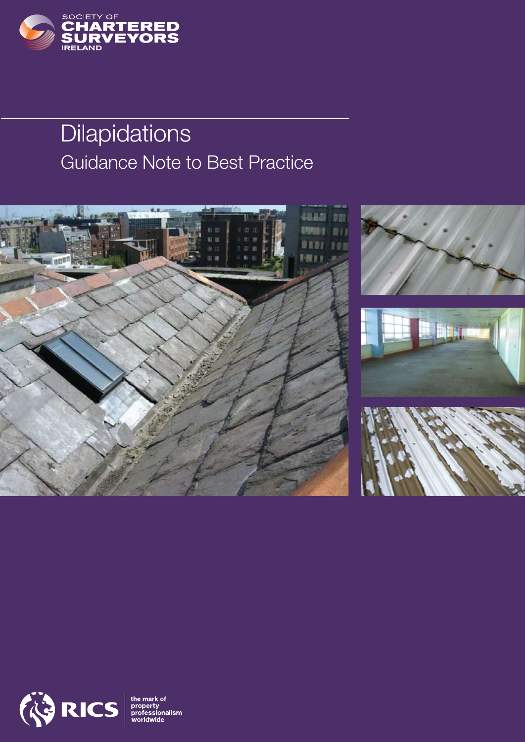

## **Dilapidations** Guidance Note to Best Practice



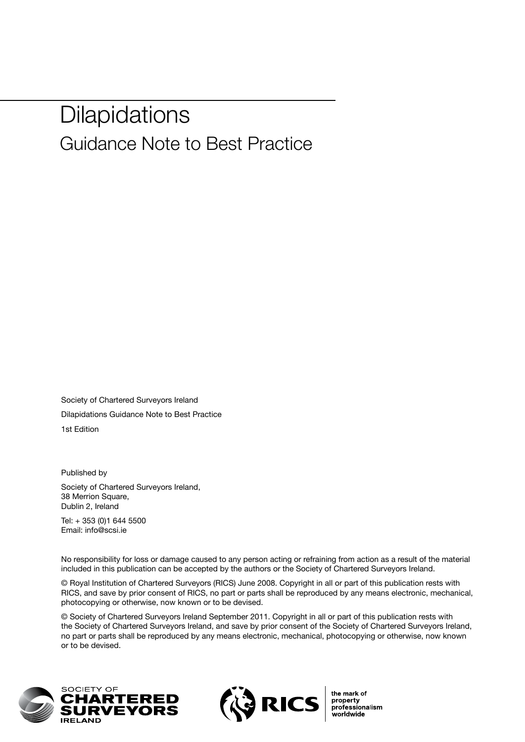# **Dilapidations** Guidance Note to Best Practice

Society of Chartered Surveyors Ireland Dilapidations Guidance Note to Best Practice 1st Edition

Published by

Society of Chartered Surveyors Ireland, 38 Merrion Square, Dublin 2, Ireland

Tel: + 353 (0)1 644 5500 Email: info@scsi.ie

No responsibility for loss or damage caused to any person acting or refraining from action as a result of the material included in this publication can be accepted by the authors or the Society of Chartered Surveyors Ireland.

© Royal Institution of Chartered Surveyors (RICS) June 2008. Copyright in all or part of this publication rests with RICS, and save by prior consent of RICS, no part or parts shall be reproduced by any means electronic, mechanical, photocopying or otherwise, now known or to be devised.

© Society of Chartered Surveyors Ireland September 2011. Copyright in all or part of this publication rests with the Society of Chartered Surveyors Ireland, and save by prior consent of the Society of Chartered Surveyors Ireland, no part or parts shall be reproduced by any means electronic, mechanical, photocopying or otherwise, now known or to be devised.





the mark of the mark of<br>property<br>professionalism<br>worldwide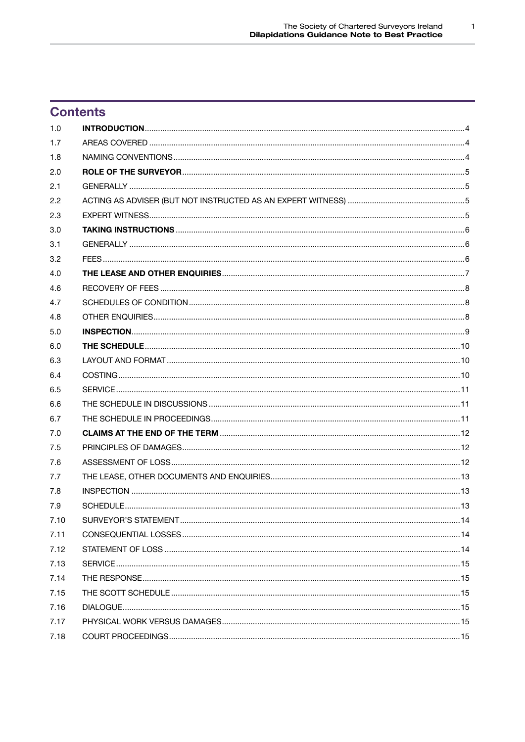|      | <b>Contents</b> |  |
|------|-----------------|--|
| 1.0  |                 |  |
| 1.7  |                 |  |
| 1.8  |                 |  |
| 2.0  |                 |  |
| 2.1  |                 |  |
| 2.2  |                 |  |
| 2.3  |                 |  |
| 3.0  |                 |  |
| 3.1  |                 |  |
| 3.2  |                 |  |
| 4.0  |                 |  |
| 4.6  |                 |  |
| 4.7  |                 |  |
| 4.8  |                 |  |
| 5.0  |                 |  |
| 6.0  |                 |  |
| 6.3  |                 |  |
| 6.4  |                 |  |
| 6.5  |                 |  |
| 6.6  |                 |  |
| 6.7  |                 |  |
| 7.0  |                 |  |
| 7.5  |                 |  |
| 7.6  |                 |  |
| 7.7  |                 |  |
| 7.8  |                 |  |
| 7.9  |                 |  |
| 7.10 |                 |  |
| 7.11 |                 |  |
| 7.12 |                 |  |
| 7.13 |                 |  |
| 7.14 |                 |  |
| 7.15 |                 |  |
| 7.16 |                 |  |
| 7.17 |                 |  |
| 7.18 |                 |  |

 $\mathbf{1}$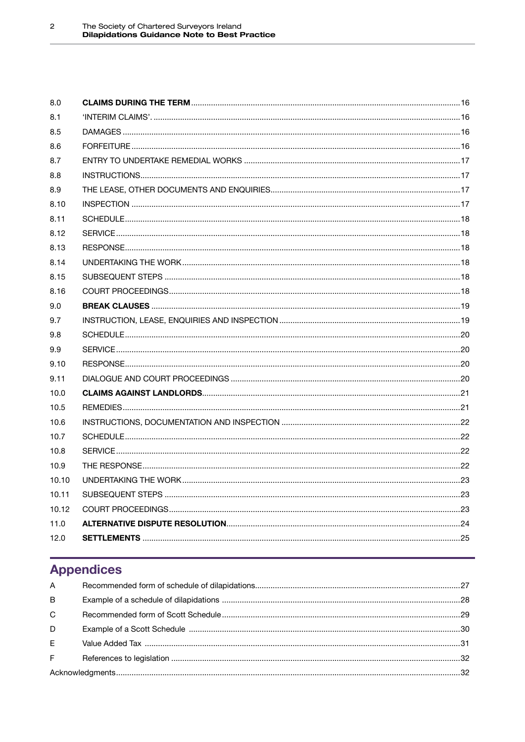### **Appendices**

| $\overline{A}$ |  |
|----------------|--|
| B              |  |
| $\mathsf{C}$   |  |
| D              |  |
| E              |  |
| F              |  |
|                |  |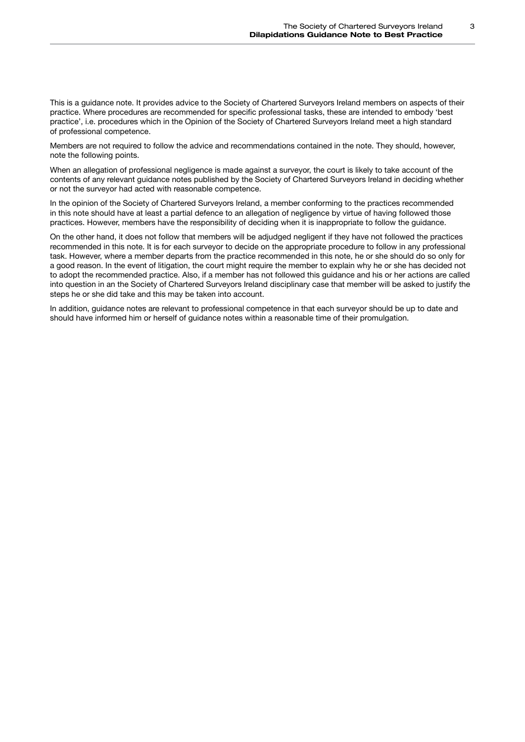This is a guidance note. It provides advice to the Society of Chartered Surveyors Ireland members on aspects of their practice. Where procedures are recommended for specific professional tasks, these are intended to embody 'best practice', i.e. procedures which in the Opinion of the Society of Chartered Surveyors Ireland meet a high standard of professional competence.

Members are not required to follow the advice and recommendations contained in the note. They should, however, note the following points.

When an allegation of professional negligence is made against a surveyor, the court is likely to take account of the contents of any relevant guidance notes published by the Society of Chartered Surveyors Ireland in deciding whether or not the surveyor had acted with reasonable competence.

In the opinion of the Society of Chartered Surveyors Ireland, a member conforming to the practices recommended in this note should have at least a partial defence to an allegation of negligence by virtue of having followed those practices. However, members have the responsibility of deciding when it is inappropriate to follow the guidance.

On the other hand, it does not follow that members will be adjudged negligent if they have not followed the practices recommended in this note. It is for each surveyor to decide on the appropriate procedure to follow in any professional task. However, where a member departs from the practice recommended in this note, he or she should do so only for a good reason. In the event of litigation, the court might require the member to explain why he or she has decided not to adopt the recommended practice. Also, if a member has not followed this guidance and his or her actions are called into question in an the Society of Chartered Surveyors Ireland disciplinary case that member will be asked to justify the steps he or she did take and this may be taken into account.

In addition, guidance notes are relevant to professional competence in that each surveyor should be up to date and should have informed him or herself of guidance notes within a reasonable time of their promulgation.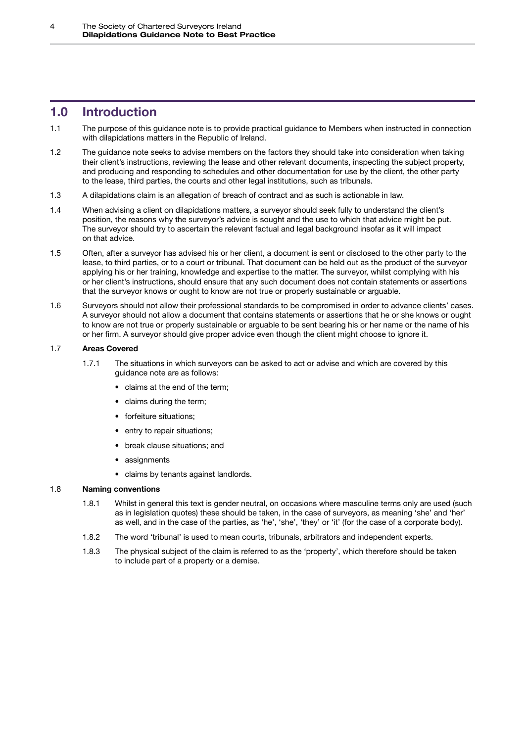### 1.0 Introduction

- 1.1 The purpose of this guidance note is to provide practical guidance to Members when instructed in connection with dilapidations matters in the Republic of Ireland.
- 1.2 The guidance note seeks to advise members on the factors they should take into consideration when taking their client's instructions, reviewing the lease and other relevant documents, inspecting the subject property, and producing and responding to schedules and other documentation for use by the client, the other party to the lease, third parties, the courts and other legal institutions, such as tribunals.
- 1.3 A dilapidations claim is an allegation of breach of contract and as such is actionable in law.
- 1.4 When advising a client on dilapidations matters, a surveyor should seek fully to understand the client's position, the reasons why the surveyor's advice is sought and the use to which that advice might be put. The surveyor should try to ascertain the relevant factual and legal background insofar as it will impact on that advice.
- 1.5 Often, after a surveyor has advised his or her client, a document is sent or disclosed to the other party to the lease, to third parties, or to a court or tribunal. That document can be held out as the product of the surveyor applying his or her training, knowledge and expertise to the matter. The surveyor, whilst complying with his or her client's instructions, should ensure that any such document does not contain statements or assertions that the surveyor knows or ought to know are not true or properly sustainable or arguable.
- 1.6 Surveyors should not allow their professional standards to be compromised in order to advance clients' cases. A surveyor should not allow a document that contains statements or assertions that he or she knows or ought to know are not true or properly sustainable or arguable to be sent bearing his or her name or the name of his or her firm. A surveyor should give proper advice even though the client might choose to ignore it.

#### 1.7 Areas Covered

- 1.7.1 The situations in which surveyors can be asked to act or advise and which are covered by this guidance note are as follows:
	- claims at the end of the term;
	- claims during the term;
	- forfeiture situations;
	- entry to repair situations:
	- break clause situations; and
	- assignments
	- claims by tenants against landlords.

#### 1.8 Naming conventions

- 1.8.1 Whilst in general this text is gender neutral, on occasions where masculine terms only are used (such as in legislation quotes) these should be taken, in the case of surveyors, as meaning 'she' and 'her' as well, and in the case of the parties, as 'he', 'she', 'they' or 'it' (for the case of a corporate body).
- 1.8.2 The word 'tribunal' is used to mean courts, tribunals, arbitrators and independent experts.
- 1.8.3 The physical subject of the claim is referred to as the 'property', which therefore should be taken to include part of a property or a demise.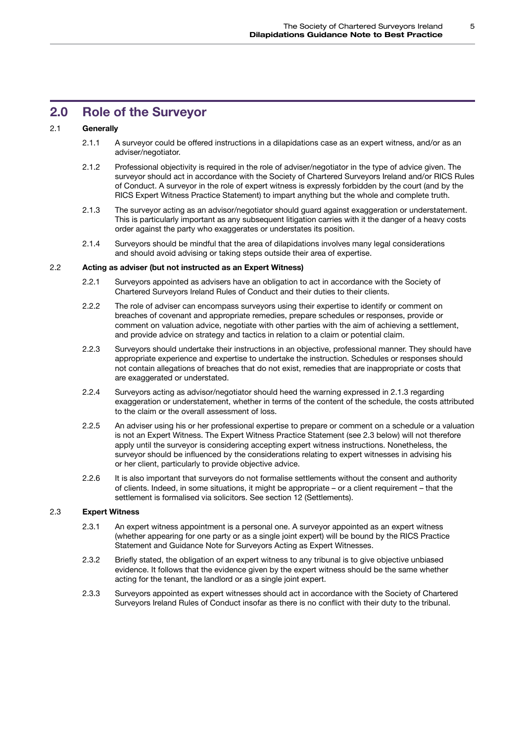### 2.0 Role of the Surveyor

### 2.1 Generally

- 2.1.1 A surveyor could be offered instructions in a dilapidations case as an expert witness, and/or as an adviser/negotiator.
- 2.1.2 Professional objectivity is required in the role of adviser/negotiator in the type of advice given. The surveyor should act in accordance with the Society of Chartered Surveyors Ireland and/or RICS Rules of Conduct. A surveyor in the role of expert witness is expressly forbidden by the court (and by the RICS Expert Witness Practice Statement) to impart anything but the whole and complete truth.
- 2.1.3 The surveyor acting as an advisor/negotiator should guard against exaggeration or understatement. This is particularly important as any subsequent litigation carries with it the danger of a heavy costs order against the party who exaggerates or understates its position.
- 2.1.4 Surveyors should be mindful that the area of dilapidations involves many legal considerations and should avoid advising or taking steps outside their area of expertise.

#### 2.2 Acting as adviser (but not instructed as an Expert Witness)

- 2.2.1 Surveyors appointed as advisers have an obligation to act in accordance with the Society of Chartered Surveyors Ireland Rules of Conduct and their duties to their clients.
- 2.2.2 The role of adviser can encompass surveyors using their expertise to identify or comment on breaches of covenant and appropriate remedies, prepare schedules or responses, provide or comment on valuation advice, negotiate with other parties with the aim of achieving a settlement, and provide advice on strategy and tactics in relation to a claim or potential claim.
- 2.2.3 Surveyors should undertake their instructions in an objective, professional manner. They should have appropriate experience and expertise to undertake the instruction. Schedules or responses should not contain allegations of breaches that do not exist, remedies that are inappropriate or costs that are exaggerated or understated.
- 2.2.4 Surveyors acting as advisor/negotiator should heed the warning expressed in 2.1.3 regarding exaggeration or understatement, whether in terms of the content of the schedule, the costs attributed to the claim or the overall assessment of loss.
- 2.2.5 An adviser using his or her professional expertise to prepare or comment on a schedule or a valuation is not an Expert Witness. The Expert Witness Practice Statement (see 2.3 below) will not therefore apply until the surveyor is considering accepting expert witness instructions. Nonetheless, the surveyor should be influenced by the considerations relating to expert witnesses in advising his or her client, particularly to provide objective advice.
- 2.2.6 It is also important that surveyors do not formalise settlements without the consent and authority of clients. Indeed, in some situations, it might be appropriate – or a client requirement – that the settlement is formalised via solicitors. See section 12 (Settlements).

#### 2.3 Expert Witness

- 2.3.1 An expert witness appointment is a personal one. A surveyor appointed as an expert witness (whether appearing for one party or as a single joint expert) will be bound by the RICS Practice Statement and Guidance Note for Surveyors Acting as Expert Witnesses.
- 2.3.2 Briefly stated, the obligation of an expert witness to any tribunal is to give objective unbiased evidence. It follows that the evidence given by the expert witness should be the same whether acting for the tenant, the landlord or as a single joint expert.
- 2.3.3 Surveyors appointed as expert witnesses should act in accordance with the Society of Chartered Surveyors Ireland Rules of Conduct insofar as there is no conflict with their duty to the tribunal.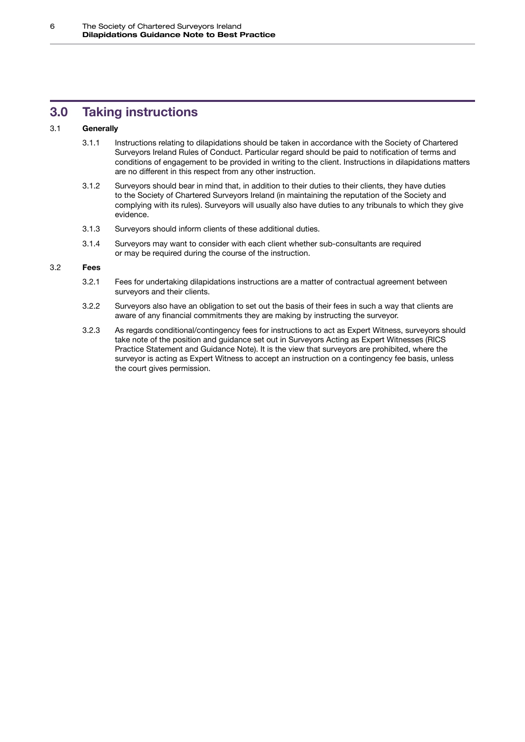### 3.0 Taking instructions

#### 3.1 Generally

- 3.1.1 Instructions relating to dilapidations should be taken in accordance with the Society of Chartered Surveyors Ireland Rules of Conduct. Particular regard should be paid to notification of terms and conditions of engagement to be provided in writing to the client. Instructions in dilapidations matters are no different in this respect from any other instruction.
- 3.1.2 Surveyors should bear in mind that, in addition to their duties to their clients, they have duties to the Society of Chartered Surveyors Ireland (in maintaining the reputation of the Society and complying with its rules). Surveyors will usually also have duties to any tribunals to which they give evidence.
- 3.1.3 Surveyors should inform clients of these additional duties.
- 3.1.4 Surveyors may want to consider with each client whether sub-consultants are required or may be required during the course of the instruction.

#### 3.2 Fees

- 3.2.1 Fees for undertaking dilapidations instructions are a matter of contractual agreement between surveyors and their clients.
- 3.2.2 Surveyors also have an obligation to set out the basis of their fees in such a way that clients are aware of any financial commitments they are making by instructing the surveyor.
- 3.2.3 As regards conditional/contingency fees for instructions to act as Expert Witness, surveyors should take note of the position and guidance set out in Surveyors Acting as Expert Witnesses (RICS Practice Statement and Guidance Note). It is the view that surveyors are prohibited, where the surveyor is acting as Expert Witness to accept an instruction on a contingency fee basis, unless the court gives permission.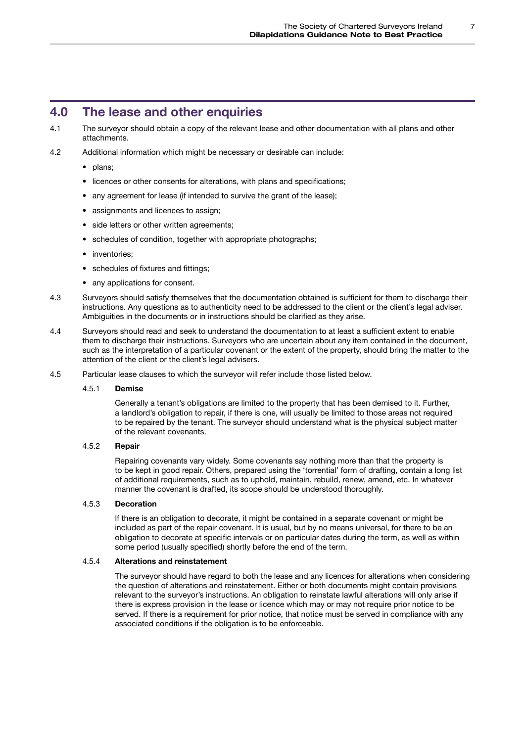### 4.0 The lease and other enquiries

- 4.1 The surveyor should obtain a copy of the relevant lease and other documentation with all plans and other attachments.
- 4.2 Additional information which might be necessary or desirable can include:
	- plans;
	- licences or other consents for alterations, with plans and specifications;
	- any agreement for lease (if intended to survive the grant of the lease);
	- assignments and licences to assign;
	- side letters or other written agreements;
	- schedules of condition, together with appropriate photographs;
	- inventories;
	- schedules of fixtures and fittings;
	- any applications for consent.
- 4.3 Surveyors should satisfy themselves that the documentation obtained is sufficient for them to discharge their instructions. Any questions as to authenticity need to be addressed to the client or the client's legal adviser. Ambiguities in the documents or in instructions should be clarified as they arise.
- 4.4 Surveyors should read and seek to understand the documentation to at least a sufficient extent to enable them to discharge their instructions. Surveyors who are uncertain about any item contained in the document, such as the interpretation of a particular covenant or the extent of the property, should bring the matter to the attention of the client or the client's legal advisers.
- 4.5 Particular lease clauses to which the surveyor will refer include those listed below.

#### 4.5.1 Demise

Generally a tenant's obligations are limited to the property that has been demised to it. Further, a landlord's obligation to repair, if there is one, will usually be limited to those areas not required to be repaired by the tenant. The surveyor should understand what is the physical subject matter of the relevant covenants.

#### 4.5.2 Repair

Repairing covenants vary widely. Some covenants say nothing more than that the property is to be kept in good repair. Others, prepared using the 'torrential' form of drafting, contain a long list of additional requirements, such as to uphold, maintain, rebuild, renew, amend, etc. In whatever manner the covenant is drafted, its scope should be understood thoroughly.

#### 4.5.3 Decoration

If there is an obligation to decorate, it might be contained in a separate covenant or might be included as part of the repair covenant. It is usual, but by no means universal, for there to be an obligation to decorate at specific intervals or on particular dates during the term, as well as within some period (usually specified) shortly before the end of the term.

#### 4.5.4 Alterations and reinstatement

The surveyor should have regard to both the lease and any licences for alterations when considering the question of alterations and reinstatement. Either or both documents might contain provisions relevant to the surveyor's instructions. An obligation to reinstate lawful alterations will only arise if there is express provision in the lease or licence which may or may not require prior notice to be served. If there is a requirement for prior notice, that notice must be served in compliance with any associated conditions if the obligation is to be enforceable.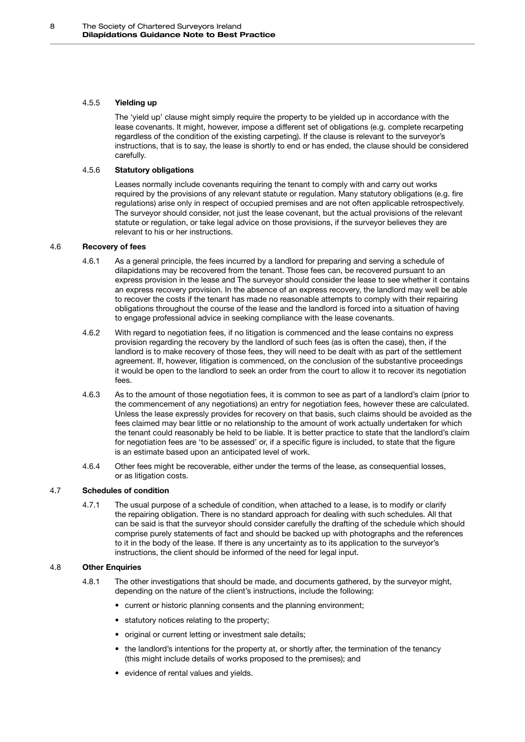#### 4.5.5 Yielding up

The 'yield up' clause might simply require the property to be yielded up in accordance with the lease covenants. It might, however, impose a different set of obligations (e.g. complete recarpeting regardless of the condition of the existing carpeting). If the clause is relevant to the surveyor's instructions, that is to say, the lease is shortly to end or has ended, the clause should be considered carefully.

#### 4.5.6 Statutory obligations

Leases normally include covenants requiring the tenant to comply with and carry out works required by the provisions of any relevant statute or regulation. Many statutory obligations (e.g. fire regulations) arise only in respect of occupied premises and are not often applicable retrospectively. The surveyor should consider, not just the lease covenant, but the actual provisions of the relevant statute or regulation, or take legal advice on those provisions, if the surveyor believes they are relevant to his or her instructions.

#### 4.6 Recovery of fees

- 4.6.1 As a general principle, the fees incurred by a landlord for preparing and serving a schedule of dilapidations may be recovered from the tenant. Those fees can, be recovered pursuant to an express provision in the lease and The surveyor should consider the lease to see whether it contains an express recovery provision. In the absence of an express recovery, the landlord may well be able to recover the costs if the tenant has made no reasonable attempts to comply with their repairing obligations throughout the course of the lease and the landlord is forced into a situation of having to engage professional advice in seeking compliance with the lease covenants.
- 4.6.2 With regard to negotiation fees, if no litigation is commenced and the lease contains no express provision regarding the recovery by the landlord of such fees (as is often the case), then, if the landlord is to make recovery of those fees, they will need to be dealt with as part of the settlement agreement. If, however, litigation is commenced, on the conclusion of the substantive proceedings it would be open to the landlord to seek an order from the court to allow it to recover its negotiation fees.
- 4.6.3 As to the amount of those negotiation fees, it is common to see as part of a landlord's claim (prior to the commencement of any negotiations) an entry for negotiation fees, however these are calculated. Unless the lease expressly provides for recovery on that basis, such claims should be avoided as the fees claimed may bear little or no relationship to the amount of work actually undertaken for which the tenant could reasonably be held to be liable. It is better practice to state that the landlord's claim for negotiation fees are 'to be assessed' or, if a specific figure is included, to state that the figure is an estimate based upon an anticipated level of work.
- 4.6.4 Other fees might be recoverable, either under the terms of the lease, as consequential losses, or as litigation costs.

#### 4.7 Schedules of condition

4.7.1 The usual purpose of a schedule of condition, when attached to a lease, is to modify or clarify the repairing obligation. There is no standard approach for dealing with such schedules. All that can be said is that the surveyor should consider carefully the drafting of the schedule which should comprise purely statements of fact and should be backed up with photographs and the references to it in the body of the lease. If there is any uncertainty as to its application to the surveyor's instructions, the client should be informed of the need for legal input.

#### 4.8 Other Enquiries

- 4.8.1 The other investigations that should be made, and documents gathered, by the surveyor might, depending on the nature of the client's instructions, include the following:
	- current or historic planning consents and the planning environment;
	- statutory notices relating to the property;
	- original or current letting or investment sale details;
	- the landlord's intentions for the property at, or shortly after, the termination of the tenancy (this might include details of works proposed to the premises); and
	- evidence of rental values and yields.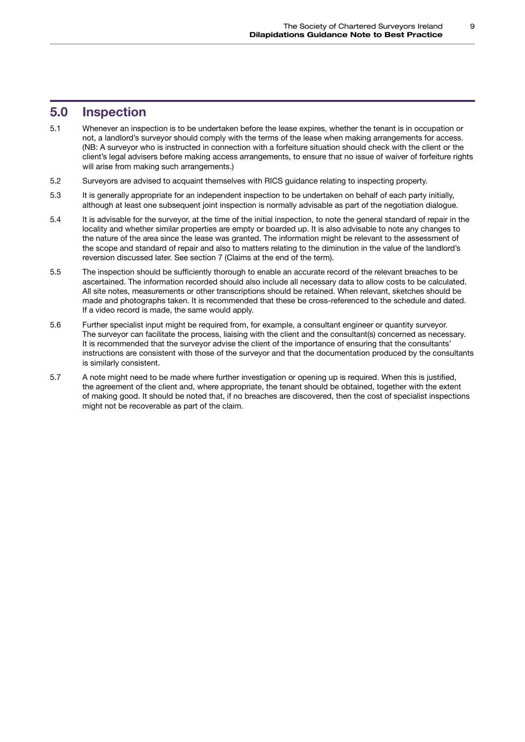### 5.0 Inspection

- 5.1 Whenever an inspection is to be undertaken before the lease expires, whether the tenant is in occupation or not, a landlord's surveyor should comply with the terms of the lease when making arrangements for access. (NB: A surveyor who is instructed in connection with a forfeiture situation should check with the client or the client's legal advisers before making access arrangements, to ensure that no issue of waiver of forfeiture rights will arise from making such arrangements.)
- 5.2 Surveyors are advised to acquaint themselves with RICS guidance relating to inspecting property.
- 5.3 It is generally appropriate for an independent inspection to be undertaken on behalf of each party initially, although at least one subsequent joint inspection is normally advisable as part of the negotiation dialogue.
- 5.4 It is advisable for the surveyor, at the time of the initial inspection, to note the general standard of repair in the locality and whether similar properties are empty or boarded up. It is also advisable to note any changes to the nature of the area since the lease was granted. The information might be relevant to the assessment of the scope and standard of repair and also to matters relating to the diminution in the value of the landlord's reversion discussed later. See section 7 (Claims at the end of the term).
- 5.5 The inspection should be sufficiently thorough to enable an accurate record of the relevant breaches to be ascertained. The information recorded should also include all necessary data to allow costs to be calculated. All site notes, measurements or other transcriptions should be retained. When relevant, sketches should be made and photographs taken. It is recommended that these be cross-referenced to the schedule and dated. If a video record is made, the same would apply.
- 5.6 Further specialist input might be required from, for example, a consultant engineer or quantity surveyor. The surveyor can facilitate the process, liaising with the client and the consultant(s) concerned as necessary. It is recommended that the surveyor advise the client of the importance of ensuring that the consultants' instructions are consistent with those of the surveyor and that the documentation produced by the consultants is similarly consistent.
- 5.7 A note might need to be made where further investigation or opening up is required. When this is justified, the agreement of the client and, where appropriate, the tenant should be obtained, together with the extent of making good. It should be noted that, if no breaches are discovered, then the cost of specialist inspections might not be recoverable as part of the claim.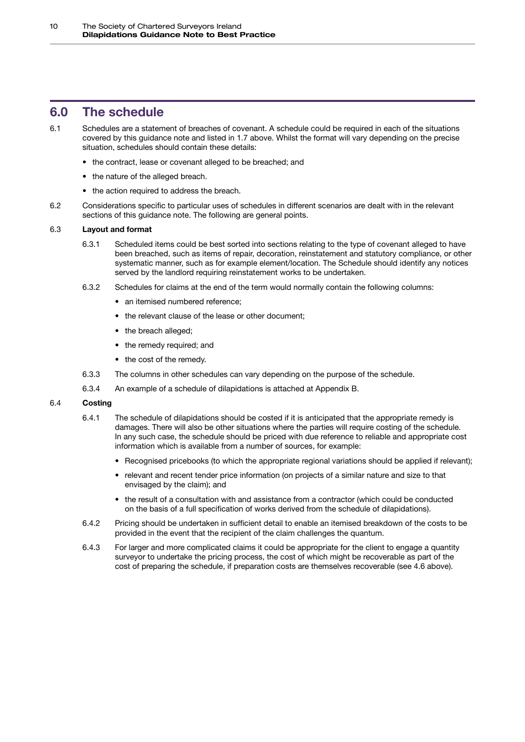### 6.0 The schedule

- 6.1 Schedules are a statement of breaches of covenant. A schedule could be required in each of the situations covered by this guidance note and listed in 1.7 above. Whilst the format will vary depending on the precise situation, schedules should contain these details:
	- the contract, lease or covenant alleged to be breached; and
	- the nature of the alleged breach.
	- the action required to address the breach.
- 6.2 Considerations specific to particular uses of schedules in different scenarios are dealt with in the relevant sections of this guidance note. The following are general points.

#### 6.3 Layout and format

- 6.3.1 Scheduled items could be best sorted into sections relating to the type of covenant alleged to have been breached, such as items of repair, decoration, reinstatement and statutory compliance, or other systematic manner, such as for example element/location. The Schedule should identify any notices served by the landlord requiring reinstatement works to be undertaken.
- 6.3.2 Schedules for claims at the end of the term would normally contain the following columns:
	- an itemised numbered reference;
	- the relevant clause of the lease or other document;
	- the breach alleged;
	- the remedy required; and
	- the cost of the remedy.
- 6.3.3 The columns in other schedules can vary depending on the purpose of the schedule.
- 6.3.4 An example of a schedule of dilapidations is attached at Appendix B.

#### 6.4 Costing

- 6.4.1 The schedule of dilapidations should be costed if it is anticipated that the appropriate remedy is damages. There will also be other situations where the parties will require costing of the schedule. In any such case, the schedule should be priced with due reference to reliable and appropriate cost information which is available from a number of sources, for example:
	- Recognised pricebooks (to which the appropriate regional variations should be applied if relevant);
	- relevant and recent tender price information (on projects of a similar nature and size to that envisaged by the claim); and
	- the result of a consultation with and assistance from a contractor (which could be conducted on the basis of a full specification of works derived from the schedule of dilapidations).
- 6.4.2 Pricing should be undertaken in sufficient detail to enable an itemised breakdown of the costs to be provided in the event that the recipient of the claim challenges the quantum.
- 6.4.3 For larger and more complicated claims it could be appropriate for the client to engage a quantity surveyor to undertake the pricing process, the cost of which might be recoverable as part of the cost of preparing the schedule, if preparation costs are themselves recoverable (see 4.6 above).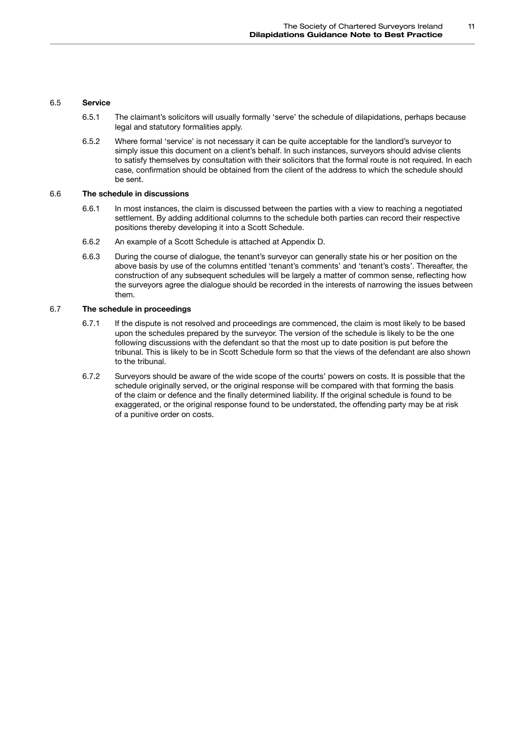#### 6.5 Service

- 6.5.1 The claimant's solicitors will usually formally 'serve' the schedule of dilapidations, perhaps because legal and statutory formalities apply.
- 6.5.2 Where formal 'service' is not necessary it can be quite acceptable for the landlord's surveyor to simply issue this document on a client's behalf. In such instances, surveyors should advise clients to satisfy themselves by consultation with their solicitors that the formal route is not required. In each case, confirmation should be obtained from the client of the address to which the schedule should be sent.

### 6.6 The schedule in discussions

- 6.6.1 In most instances, the claim is discussed between the parties with a view to reaching a negotiated settlement. By adding additional columns to the schedule both parties can record their respective positions thereby developing it into a Scott Schedule.
- 6.6.2 An example of a Scott Schedule is attached at Appendix D.
- 6.6.3 During the course of dialogue, the tenant's surveyor can generally state his or her position on the above basis by use of the columns entitled 'tenant's comments' and 'tenant's costs'. Thereafter, the construction of any subsequent schedules will be largely a matter of common sense, reflecting how the surveyors agree the dialogue should be recorded in the interests of narrowing the issues between them.

#### 6.7 The schedule in proceedings

- 6.7.1 If the dispute is not resolved and proceedings are commenced, the claim is most likely to be based upon the schedules prepared by the surveyor. The version of the schedule is likely to be the one following discussions with the defendant so that the most up to date position is put before the tribunal. This is likely to be in Scott Schedule form so that the views of the defendant are also shown to the tribunal.
- 6.7.2 Surveyors should be aware of the wide scope of the courts' powers on costs. It is possible that the schedule originally served, or the original response will be compared with that forming the basis of the claim or defence and the finally determined liability. If the original schedule is found to be exaggerated, or the original response found to be understated, the offending party may be at risk of a punitive order on costs.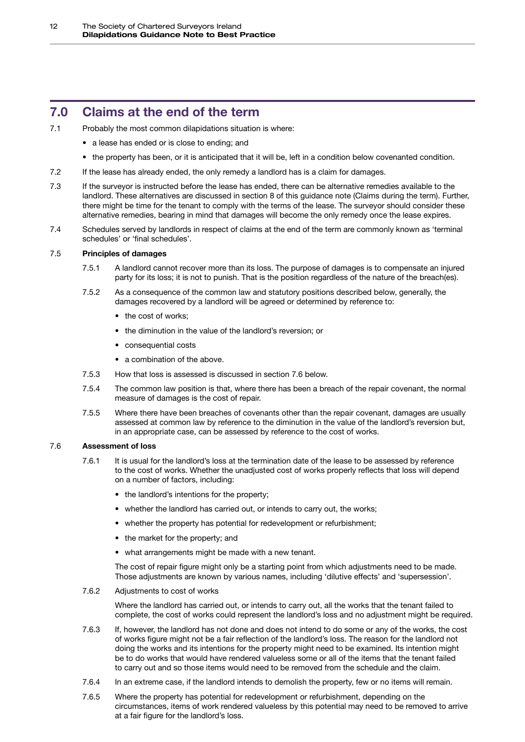### 7.0 Claims at the end of the term

- 7.1 Probably the most common dilapidations situation is where:
	- a lease has ended or is close to ending; and
	- the property has been, or it is anticipated that it will be, left in a condition below covenanted condition.
- 7.2 If the lease has already ended, the only remedy a landlord has is a claim for damages.
- 7.3 If the surveyor is instructed before the lease has ended, there can be alternative remedies available to the landlord. These alternatives are discussed in section 8 of this guidance note (Claims during the term). Further, there might be time for the tenant to comply with the terms of the lease. The surveyor should consider these alternative remedies, bearing in mind that damages will become the only remedy once the lease expires.
- 7.4 Schedules served by landlords in respect of claims at the end of the term are commonly known as 'terminal schedules' or 'final schedules'.

#### 7.5 Principles of damages

- 7.5.1 A landlord cannot recover more than its loss. The purpose of damages is to compensate an injured party for its loss; it is not to punish. That is the position regardless of the nature of the breach(es).
- 7.5.2 As a consequence of the common law and statutory positions described below, generally, the damages recovered by a landlord will be agreed or determined by reference to:
	- the cost of works:
	- the diminution in the value of the landlord's reversion; or
	- consequential costs
	- a combination of the above.
- 7.5.3 How that loss is assessed is discussed in section 7.6 below.
- 7.5.4 The common law position is that, where there has been a breach of the repair covenant, the normal measure of damages is the cost of repair.
- 7.5.5 Where there have been breaches of covenants other than the repair covenant, damages are usually assessed at common law by reference to the diminution in the value of the landlord's reversion but, in an appropriate case, can be assessed by reference to the cost of works.

#### 7.6 Assessment of loss

- 7.6.1 It is usual for the landlord's loss at the termination date of the lease to be assessed by reference to the cost of works. Whether the unadjusted cost of works properly reflects that loss will depend on a number of factors, including:
	- the landlord's intentions for the property;
	- whether the landlord has carried out, or intends to carry out, the works:
	- whether the property has potential for redevelopment or refurbishment;
	- the market for the property; and
	- what arrangements might be made with a new tenant.

The cost of repair figure might only be a starting point from which adjustments need to be made. Those adjustments are known by various names, including 'dilutive effects' and 'supersession'.

7.6.2 Adjustments to cost of works

Where the landlord has carried out, or intends to carry out, all the works that the tenant failed to complete, the cost of works could represent the landlord's loss and no adjustment might be required.

- 7.6.3 If, however, the landlord has not done and does not intend to do some or any of the works, the cost of works figure might not be a fair reflection of the landlord's loss. The reason for the landlord not doing the works and its intentions for the property might need to be examined. Its intention might be to do works that would have rendered valueless some or all of the items that the tenant failed to carry out and so those items would need to be removed from the schedule and the claim.
- 7.6.4 In an extreme case, if the landlord intends to demolish the property, few or no items will remain.
- 7.6.5 Where the property has potential for redevelopment or refurbishment, depending on the circumstances, items of work rendered valueless by this potential may need to be removed to arrive at a fair figure for the landlord's loss.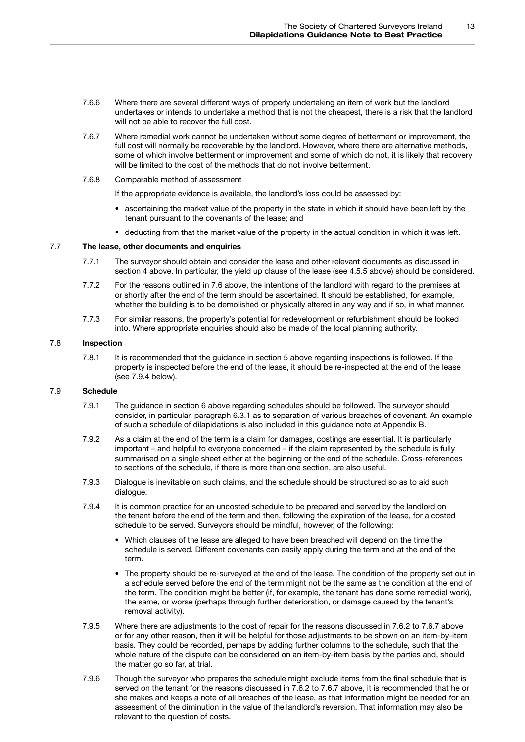- 7.6.6 Where there are several different ways of properly undertaking an item of work but the landlord undertakes or intends to undertake a method that is not the cheapest, there is a risk that the landlord will not be able to recover the full cost.
- 7.6.7 Where remedial work cannot be undertaken without some degree of betterment or improvement, the full cost will normally be recoverable by the landlord. However, where there are alternative methods, some of which involve betterment or improvement and some of which do not, it is likely that recovery will be limited to the cost of the methods that do not involve betterment.
- 7.6.8 Comparable method of assessment

If the appropriate evidence is available, the landlord's loss could be assessed by:

- ascertaining the market value of the property in the state in which it should have been left by the tenant pursuant to the covenants of the lease; and
- deducting from that the market value of the property in the actual condition in which it was left.

### 7.7 The lease, other documents and enquiries

- 7.7.1 The surveyor should obtain and consider the lease and other relevant documents as discussed in section 4 above. In particular, the yield up clause of the lease (see 4.5.5 above) should be considered.
- 7.7.2 For the reasons outlined in 7.6 above, the intentions of the landlord with regard to the premises at or shortly after the end of the term should be ascertained. It should be established, for example, whether the building is to be demolished or physically altered in any way and if so, in what manner.
- 7.7.3 For similar reasons, the property's potential for redevelopment or refurbishment should be looked into. Where appropriate enquiries should also be made of the local planning authority.

#### 7.8 Inspection

7.8.1 It is recommended that the guidance in section 5 above regarding inspections is followed. If the property is inspected before the end of the lease, it should be re-inspected at the end of the lease (see 7.9.4 below).

#### 7.9 Schedule

- 7.9.1 The guidance in section 6 above regarding schedules should be followed. The surveyor should consider, in particular, paragraph 6.3.1 as to separation of various breaches of covenant. An example of such a schedule of dilapidations is also included in this guidance note at Appendix B.
- 7.9.2 As a claim at the end of the term is a claim for damages, costings are essential. It is particularly important – and helpful to everyone concerned – if the claim represented by the schedule is fully summarised on a single sheet either at the beginning or the end of the schedule. Cross-references to sections of the schedule, if there is more than one section, are also useful.
- 7.9.3 Dialogue is inevitable on such claims, and the schedule should be structured so as to aid such dialogue.
- 7.9.4 It is common practice for an uncosted schedule to be prepared and served by the landlord on the tenant before the end of the term and then, following the expiration of the lease, for a costed schedule to be served. Surveyors should be mindful, however, of the following:
	- Which clauses of the lease are alleged to have been breached will depend on the time the schedule is served. Different covenants can easily apply during the term and at the end of the term.
	- The property should be re-surveyed at the end of the lease. The condition of the property set out in a schedule served before the end of the term might not be the same as the condition at the end of the term. The condition might be better (if, for example, the tenant has done some remedial work), the same, or worse (perhaps through further deterioration, or damage caused by the tenant's removal activity).
- 7.9.5 Where there are adjustments to the cost of repair for the reasons discussed in 7.6.2 to 7.6.7 above or for any other reason, then it will be helpful for those adjustments to be shown on an item-by-item basis. They could be recorded, perhaps by adding further columns to the schedule, such that the whole nature of the dispute can be considered on an item-by-item basis by the parties and, should the matter go so far, at trial.
- 7.9.6 Though the surveyor who prepares the schedule might exclude items from the final schedule that is served on the tenant for the reasons discussed in 7.6.2 to 7.6.7 above, it is recommended that he or she makes and keeps a note of all breaches of the lease, as that information might be needed for an assessment of the diminution in the value of the landlord's reversion. That information may also be relevant to the question of costs.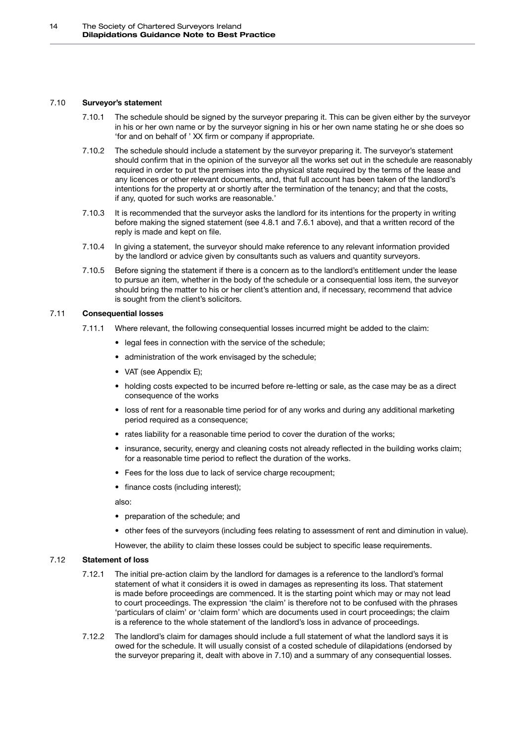#### 7.10 Surveyor's statement

- 7.10.1 The schedule should be signed by the surveyor preparing it. This can be given either by the surveyor in his or her own name or by the surveyor signing in his or her own name stating he or she does so 'for and on behalf of ' XX firm or company if appropriate.
- 7.10.2 The schedule should include a statement by the surveyor preparing it. The surveyor's statement should confirm that in the opinion of the surveyor all the works set out in the schedule are reasonably required in order to put the premises into the physical state required by the terms of the lease and any licences or other relevant documents, and, that full account has been taken of the landlord's intentions for the property at or shortly after the termination of the tenancy; and that the costs, if any, quoted for such works are reasonable.'
- 7.10.3 It is recommended that the surveyor asks the landlord for its intentions for the property in writing before making the signed statement (see 4.8.1 and 7.6.1 above), and that a written record of the reply is made and kept on file.
- 7.10.4 In giving a statement, the surveyor should make reference to any relevant information provided by the landlord or advice given by consultants such as valuers and quantity surveyors.
- 7.10.5 Before signing the statement if there is a concern as to the landlord's entitlement under the lease to pursue an item, whether in the body of the schedule or a consequential loss item, the surveyor should bring the matter to his or her client's attention and, if necessary, recommend that advice is sought from the client's solicitors.

#### 7.11 Consequential losses

- 7.11.1 Where relevant, the following consequential losses incurred might be added to the claim:
	- legal fees in connection with the service of the schedule;
	- administration of the work envisaged by the schedule;
	- VAT (see Appendix E);
	- holding costs expected to be incurred before re-letting or sale, as the case may be as a direct consequence of the works
	- loss of rent for a reasonable time period for of any works and during any additional marketing period required as a consequence;
	- rates liability for a reasonable time period to cover the duration of the works;
	- insurance, security, energy and cleaning costs not already reflected in the building works claim; for a reasonable time period to reflect the duration of the works.
	- Fees for the loss due to lack of service charge recoupment;
	- finance costs (including interest);

also:

- preparation of the schedule; and
- other fees of the surveyors (including fees relating to assessment of rent and diminution in value).

However, the ability to claim these losses could be subject to specific lease requirements.

#### 7.12 Statement of loss

- 7.12.1 The initial pre-action claim by the landlord for damages is a reference to the landlord's formal statement of what it considers it is owed in damages as representing its loss. That statement is made before proceedings are commenced. It is the starting point which may or may not lead to court proceedings. The expression 'the claim' is therefore not to be confused with the phrases 'particulars of claim' or 'claim form' which are documents used in court proceedings; the claim is a reference to the whole statement of the landlord's loss in advance of proceedings.
- 7.12.2 The landlord's claim for damages should include a full statement of what the landlord says it is owed for the schedule. It will usually consist of a costed schedule of dilapidations (endorsed by the surveyor preparing it, dealt with above in 7.10) and a summary of any consequential losses.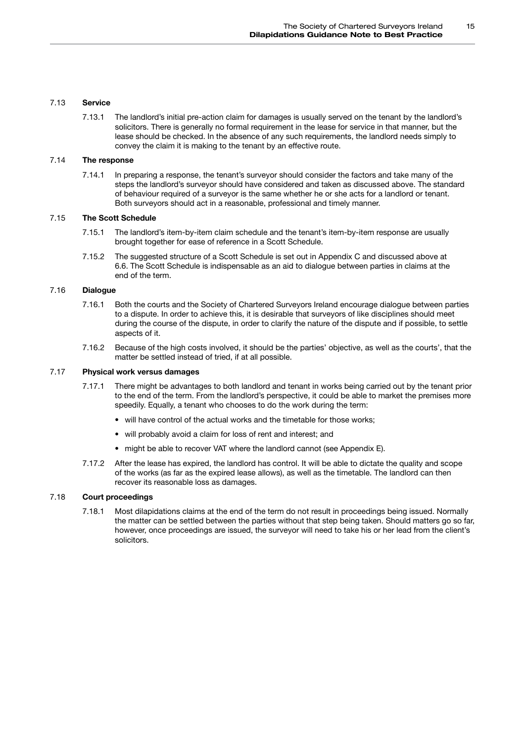#### 7.13 Service

7.13.1 The landlord's initial pre-action claim for damages is usually served on the tenant by the landlord's solicitors. There is generally no formal requirement in the lease for service in that manner, but the lease should be checked. In the absence of any such requirements, the landlord needs simply to convey the claim it is making to the tenant by an effective route.

#### 7.14 The response

7.14.1 In preparing a response, the tenant's surveyor should consider the factors and take many of the steps the landlord's surveyor should have considered and taken as discussed above. The standard of behaviour required of a surveyor is the same whether he or she acts for a landlord or tenant. Both surveyors should act in a reasonable, professional and timely manner.

#### 7.15 The Scott Schedule

- 7.15.1 The landlord's item-by-item claim schedule and the tenant's item-by-item response are usually brought together for ease of reference in a Scott Schedule.
- 7.15.2 The suggested structure of a Scott Schedule is set out in Appendix C and discussed above at 6.6. The Scott Schedule is indispensable as an aid to dialogue between parties in claims at the end of the term.

#### 7.16 Dialogue

- 7.16.1 Both the courts and the Society of Chartered Surveyors Ireland encourage dialogue between parties to a dispute. In order to achieve this, it is desirable that surveyors of like disciplines should meet during the course of the dispute, in order to clarify the nature of the dispute and if possible, to settle aspects of it.
- 7.16.2 Because of the high costs involved, it should be the parties' objective, as well as the courts', that the matter be settled instead of tried, if at all possible.

#### 7.17 Physical work versus damages

- 7.17.1 There might be advantages to both landlord and tenant in works being carried out by the tenant prior to the end of the term. From the landlord's perspective, it could be able to market the premises more speedily. Equally, a tenant who chooses to do the work during the term:
	- will have control of the actual works and the timetable for those works;
	- will probably avoid a claim for loss of rent and interest; and
	- might be able to recover VAT where the landlord cannot (see Appendix E).
- 7.17.2 After the lease has expired, the landlord has control. It will be able to dictate the quality and scope of the works (as far as the expired lease allows), as well as the timetable. The landlord can then recover its reasonable loss as damages.

#### 7.18 Court proceedings

7.18.1 Most dilapidations claims at the end of the term do not result in proceedings being issued. Normally the matter can be settled between the parties without that step being taken. Should matters go so far, however, once proceedings are issued, the surveyor will need to take his or her lead from the client's solicitors.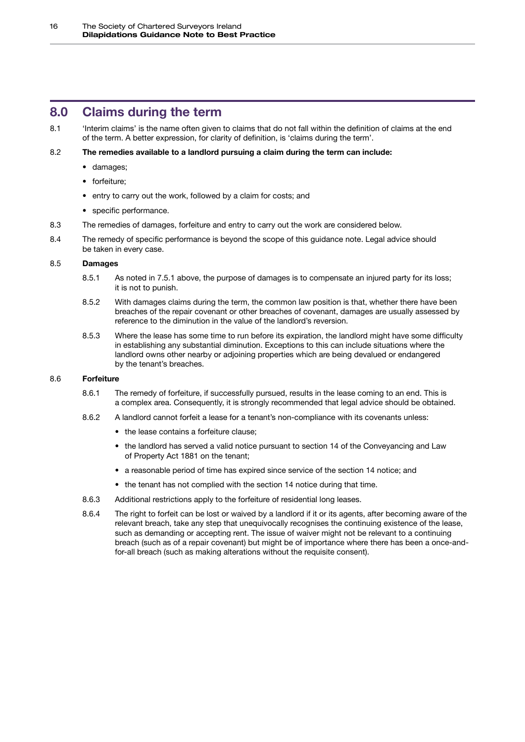### 8.0 Claims during the term

8.1 'Interim claims' is the name often given to claims that do not fall within the definition of claims at the end of the term. A better expression, for clarity of definition, is 'claims during the term'.

#### 8.2 The remedies available to a landlord pursuing a claim during the term can include:

- damages;
- forfeiture;
- entry to carry out the work, followed by a claim for costs; and
- specific performance.
- 8.3 The remedies of damages, forfeiture and entry to carry out the work are considered below.
- 8.4 The remedy of specific performance is beyond the scope of this guidance note. Legal advice should be taken in every case.

#### 8.5 Damages

- 8.5.1 As noted in 7.5.1 above, the purpose of damages is to compensate an injured party for its loss; it is not to punish.
- 8.5.2 With damages claims during the term, the common law position is that, whether there have been breaches of the repair covenant or other breaches of covenant, damages are usually assessed by reference to the diminution in the value of the landlord's reversion.
- 8.5.3 Where the lease has some time to run before its expiration, the landlord might have some difficulty in establishing any substantial diminution. Exceptions to this can include situations where the landlord owns other nearby or adjoining properties which are being devalued or endangered by the tenant's breaches.

#### 8.6 Forfeiture

- 8.6.1 The remedy of forfeiture, if successfully pursued, results in the lease coming to an end. This is a complex area. Consequently, it is strongly recommended that legal advice should be obtained.
- 8.6.2 A landlord cannot forfeit a lease for a tenant's non-compliance with its covenants unless:
	- the lease contains a forfeiture clause;
	- the landlord has served a valid notice pursuant to section 14 of the Conveyancing and Law of Property Act 1881 on the tenant;
	- a reasonable period of time has expired since service of the section 14 notice; and
	- the tenant has not complied with the section 14 notice during that time.
- 8.6.3 Additional restrictions apply to the forfeiture of residential long leases.
- 8.6.4 The right to forfeit can be lost or waived by a landlord if it or its agents, after becoming aware of the relevant breach, take any step that unequivocally recognises the continuing existence of the lease, such as demanding or accepting rent. The issue of waiver might not be relevant to a continuing breach (such as of a repair covenant) but might be of importance where there has been a once-andfor-all breach (such as making alterations without the requisite consent).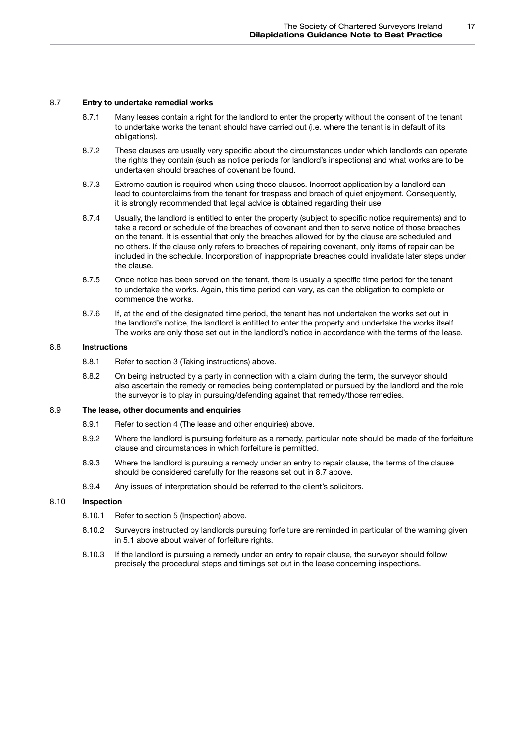#### 8.7 Entry to undertake remedial works

- 8.7.1 Many leases contain a right for the landlord to enter the property without the consent of the tenant to undertake works the tenant should have carried out (i.e. where the tenant is in default of its obligations).
- 8.7.2 These clauses are usually very specific about the circumstances under which landlords can operate the rights they contain (such as notice periods for landlord's inspections) and what works are to be undertaken should breaches of covenant be found.
- 8.7.3 Extreme caution is required when using these clauses. Incorrect application by a landlord can lead to counterclaims from the tenant for trespass and breach of quiet enjoyment. Consequently, it is strongly recommended that legal advice is obtained regarding their use.
- 8.7.4 Usually, the landlord is entitled to enter the property (subject to specific notice requirements) and to take a record or schedule of the breaches of covenant and then to serve notice of those breaches on the tenant. It is essential that only the breaches allowed for by the clause are scheduled and no others. If the clause only refers to breaches of repairing covenant, only items of repair can be included in the schedule. Incorporation of inappropriate breaches could invalidate later steps under the clause.
- 8.7.5 Once notice has been served on the tenant, there is usually a specific time period for the tenant to undertake the works. Again, this time period can vary, as can the obligation to complete or commence the works.
- 8.7.6 If, at the end of the designated time period, the tenant has not undertaken the works set out in the landlord's notice, the landlord is entitled to enter the property and undertake the works itself. The works are only those set out in the landlord's notice in accordance with the terms of the lease.

#### 8.8 Instructions

- 8.8.1 Refer to section 3 (Taking instructions) above.
- 8.8.2 On being instructed by a party in connection with a claim during the term, the surveyor should also ascertain the remedy or remedies being contemplated or pursued by the landlord and the role the surveyor is to play in pursuing/defending against that remedy/those remedies.

#### 8.9 The lease, other documents and enquiries

- 8.9.1 Refer to section 4 (The lease and other enquiries) above.
- 8.9.2 Where the landlord is pursuing forfeiture as a remedy, particular note should be made of the forfeiture clause and circumstances in which forfeiture is permitted.
- 8.9.3 Where the landlord is pursuing a remedy under an entry to repair clause, the terms of the clause should be considered carefully for the reasons set out in 8.7 above.
- 8.9.4 Any issues of interpretation should be referred to the client's solicitors.

#### 8.10 Inspection

- 8.10.1 Refer to section 5 (Inspection) above.
- 8.10.2 Surveyors instructed by landlords pursuing forfeiture are reminded in particular of the warning given in 5.1 above about waiver of forfeiture rights.
- 8.10.3 If the landlord is pursuing a remedy under an entry to repair clause, the surveyor should follow precisely the procedural steps and timings set out in the lease concerning inspections.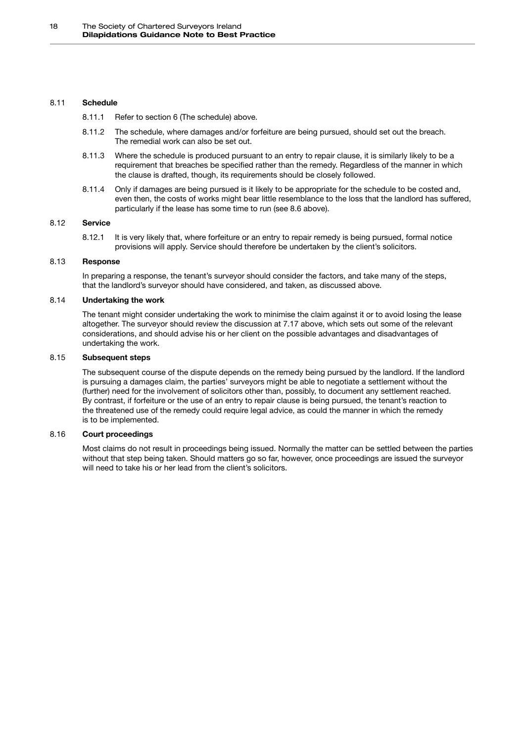#### 8.11 Schedule

8.11.1 Refer to section 6 (The schedule) above.

- 8.11.2 The schedule, where damages and/or forfeiture are being pursued, should set out the breach. The remedial work can also be set out.
- 8.11.3 Where the schedule is produced pursuant to an entry to repair clause, it is similarly likely to be a requirement that breaches be specified rather than the remedy. Regardless of the manner in which the clause is drafted, though, its requirements should be closely followed.
- 8.11.4 Only if damages are being pursued is it likely to be appropriate for the schedule to be costed and, even then, the costs of works might bear little resemblance to the loss that the landlord has suffered, particularly if the lease has some time to run (see 8.6 above).

#### 8.12 Service

8.12.1 It is very likely that, where forfeiture or an entry to repair remedy is being pursued, formal notice provisions will apply. Service should therefore be undertaken by the client's solicitors.

#### 8.13 Response

In preparing a response, the tenant's surveyor should consider the factors, and take many of the steps, that the landlord's surveyor should have considered, and taken, as discussed above.

#### 8.14 Undertaking the work

The tenant might consider undertaking the work to minimise the claim against it or to avoid losing the lease altogether. The surveyor should review the discussion at 7.17 above, which sets out some of the relevant considerations, and should advise his or her client on the possible advantages and disadvantages of undertaking the work.

#### 8.15 Subsequent steps

The subsequent course of the dispute depends on the remedy being pursued by the landlord. If the landlord is pursuing a damages claim, the parties' surveyors might be able to negotiate a settlement without the (further) need for the involvement of solicitors other than, possibly, to document any settlement reached. By contrast, if forfeiture or the use of an entry to repair clause is being pursued, the tenant's reaction to the threatened use of the remedy could require legal advice, as could the manner in which the remedy is to be implemented.

#### 8.16 Court proceedings

Most claims do not result in proceedings being issued. Normally the matter can be settled between the parties without that step being taken. Should matters go so far, however, once proceedings are issued the surveyor will need to take his or her lead from the client's solicitors.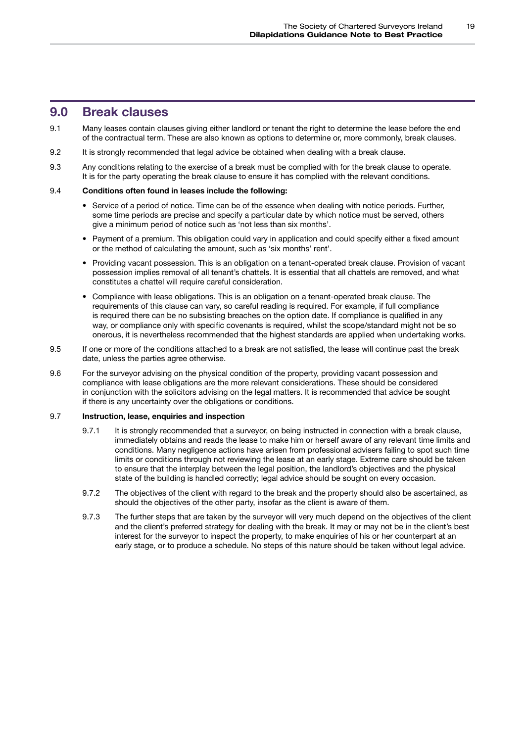### 9.0 Break clauses

- 9.1 Many leases contain clauses giving either landlord or tenant the right to determine the lease before the end of the contractual term. These are also known as options to determine or, more commonly, break clauses.
- 9.2 It is strongly recommended that legal advice be obtained when dealing with a break clause.
- 9.3 Any conditions relating to the exercise of a break must be complied with for the break clause to operate. It is for the party operating the break clause to ensure it has complied with the relevant conditions.

#### 9.4 Conditions often found in leases include the following:

- Service of a period of notice. Time can be of the essence when dealing with notice periods. Further, some time periods are precise and specify a particular date by which notice must be served, others give a minimum period of notice such as 'not less than six months'.
- Payment of a premium. This obligation could vary in application and could specify either a fixed amount or the method of calculating the amount, such as 'six months' rent'.
- Providing vacant possession. This is an obligation on a tenant-operated break clause. Provision of vacant possession implies removal of all tenant's chattels. It is essential that all chattels are removed, and what constitutes a chattel will require careful consideration.
- Compliance with lease obligations. This is an obligation on a tenant-operated break clause. The requirements of this clause can vary, so careful reading is required. For example, if full compliance is required there can be no subsisting breaches on the option date. If compliance is qualified in any way, or compliance only with specific covenants is required, whilst the scope/standard might not be so onerous, it is nevertheless recommended that the highest standards are applied when undertaking works.
- 9.5 If one or more of the conditions attached to a break are not satisfied, the lease will continue past the break date, unless the parties agree otherwise.
- 9.6 For the surveyor advising on the physical condition of the property, providing vacant possession and compliance with lease obligations are the more relevant considerations. These should be considered in conjunction with the solicitors advising on the legal matters. It is recommended that advice be sought if there is any uncertainty over the obligations or conditions.

#### 9.7 Instruction, lease, enquiries and inspection

- 9.7.1 It is strongly recommended that a surveyor, on being instructed in connection with a break clause, immediately obtains and reads the lease to make him or herself aware of any relevant time limits and conditions. Many negligence actions have arisen from professional advisers failing to spot such time limits or conditions through not reviewing the lease at an early stage. Extreme care should be taken to ensure that the interplay between the legal position, the landlord's objectives and the physical state of the building is handled correctly; legal advice should be sought on every occasion.
- 9.7.2 The objectives of the client with regard to the break and the property should also be ascertained, as should the objectives of the other party, insofar as the client is aware of them.
- 9.7.3 The further steps that are taken by the surveyor will very much depend on the objectives of the client and the client's preferred strategy for dealing with the break. It may or may not be in the client's best interest for the surveyor to inspect the property, to make enquiries of his or her counterpart at an early stage, or to produce a schedule. No steps of this nature should be taken without legal advice.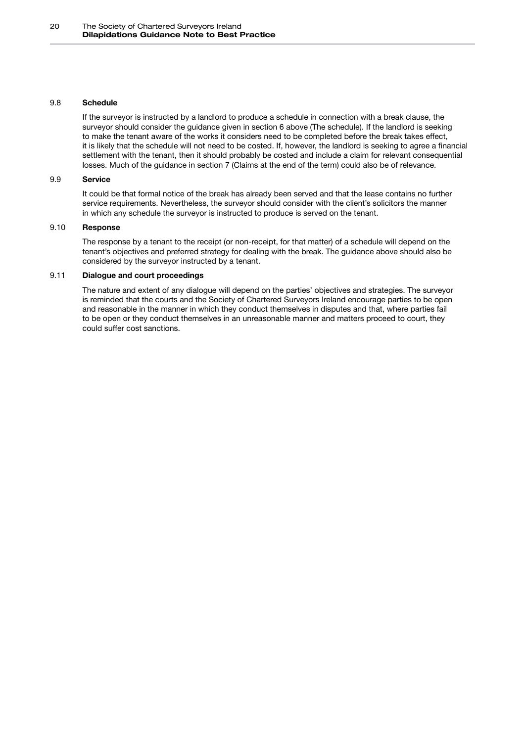#### 9.8 Schedule

If the surveyor is instructed by a landlord to produce a schedule in connection with a break clause, the surveyor should consider the guidance given in section 6 above (The schedule). If the landlord is seeking to make the tenant aware of the works it considers need to be completed before the break takes effect, it is likely that the schedule will not need to be costed. If, however, the landlord is seeking to agree a financial settlement with the tenant, then it should probably be costed and include a claim for relevant consequential losses. Much of the guidance in section 7 (Claims at the end of the term) could also be of relevance.

#### 9.9 Service

It could be that formal notice of the break has already been served and that the lease contains no further service requirements. Nevertheless, the surveyor should consider with the client's solicitors the manner in which any schedule the surveyor is instructed to produce is served on the tenant.

#### 9.10 Response

The response by a tenant to the receipt (or non-receipt, for that matter) of a schedule will depend on the tenant's objectives and preferred strategy for dealing with the break. The guidance above should also be considered by the surveyor instructed by a tenant.

#### 9.11 Dialogue and court proceedings

The nature and extent of any dialogue will depend on the parties' objectives and strategies. The surveyor is reminded that the courts and the Society of Chartered Surveyors Ireland encourage parties to be open and reasonable in the manner in which they conduct themselves in disputes and that, where parties fail to be open or they conduct themselves in an unreasonable manner and matters proceed to court, they could suffer cost sanctions.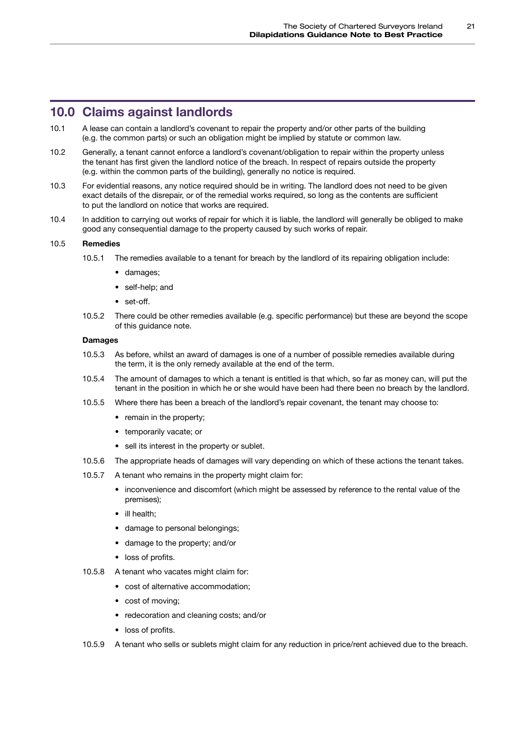### 10.0 Claims against landlords

- 10.1 A lease can contain a landlord's covenant to repair the property and/or other parts of the building (e.g. the common parts) or such an obligation might be implied by statute or common law.
- 10.2 Generally, a tenant cannot enforce a landlord's covenant/obligation to repair within the property unless the tenant has first given the landlord notice of the breach. In respect of repairs outside the property (e.g. within the common parts of the building), generally no notice is required.
- 10.3 For evidential reasons, any notice required should be in writing. The landlord does not need to be given exact details of the disrepair, or of the remedial works required, so long as the contents are sufficient to put the landlord on notice that works are required.
- 10.4 In addition to carrying out works of repair for which it is liable, the landlord will generally be obliged to make good any consequential damage to the property caused by such works of repair.

#### 10.5 Remedies

- 10.5.1 The remedies available to a tenant for breach by the landlord of its repairing obligation include:
	- damages;
	- self-help: and
	- set-off.
- 10.5.2 There could be other remedies available (e.g. specific performance) but these are beyond the scope of this guidance note.

#### Damages

- 10.5.3 As before, whilst an award of damages is one of a number of possible remedies available during the term, it is the only remedy available at the end of the term.
- 10.5.4 The amount of damages to which a tenant is entitled is that which, so far as money can, will put the tenant in the position in which he or she would have been had there been no breach by the landlord.
- 10.5.5 Where there has been a breach of the landlord's repair covenant, the tenant may choose to:
	- remain in the property;
	- temporarily vacate; or
	- sell its interest in the property or sublet.
- 10.5.6 The appropriate heads of damages will vary depending on which of these actions the tenant takes.
- 10.5.7 A tenant who remains in the property might claim for:
	- inconvenience and discomfort (which might be assessed by reference to the rental value of the premises);
	- ill health;
	- damage to personal belongings;
	- damage to the property; and/or
	- loss of profits.
- 10.5.8 A tenant who vacates might claim for:
	- cost of alternative accommodation;
	- cost of moving;
	- redecoration and cleaning costs; and/or
	- loss of profits.
- 10.5.9 A tenant who sells or sublets might claim for any reduction in price/rent achieved due to the breach.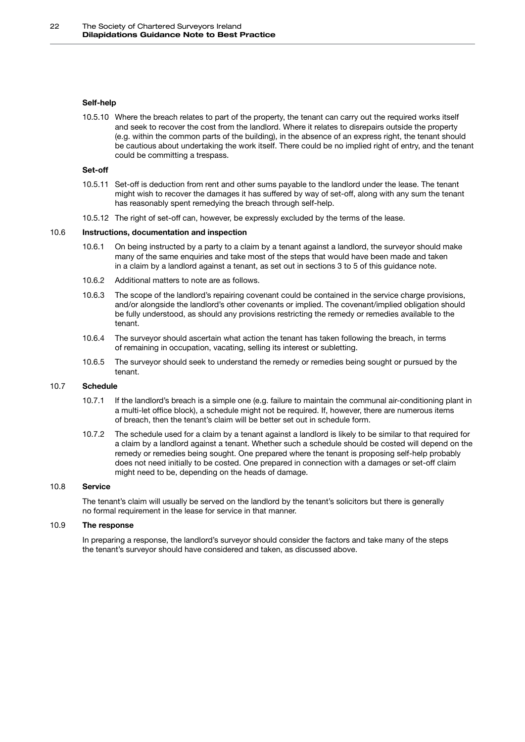#### Self-help

10.5.10 Where the breach relates to part of the property, the tenant can carry out the required works itself and seek to recover the cost from the landlord. Where it relates to disrepairs outside the property (e.g. within the common parts of the building), in the absence of an express right, the tenant should be cautious about undertaking the work itself. There could be no implied right of entry, and the tenant could be committing a trespass.

#### Set-off

- 10.5.11 Set-off is deduction from rent and other sums payable to the landlord under the lease. The tenant might wish to recover the damages it has suffered by way of set-off, along with any sum the tenant has reasonably spent remedying the breach through self-help.
- 10.5.12 The right of set-off can, however, be expressly excluded by the terms of the lease.

#### 10.6 Instructions, documentation and inspection

- 10.6.1 On being instructed by a party to a claim by a tenant against a landlord, the surveyor should make many of the same enquiries and take most of the steps that would have been made and taken in a claim by a landlord against a tenant, as set out in sections 3 to 5 of this guidance note.
- 10.6.2 Additional matters to note are as follows.
- 10.6.3 The scope of the landlord's repairing covenant could be contained in the service charge provisions, and/or alongside the landlord's other covenants or implied. The covenant/implied obligation should be fully understood, as should any provisions restricting the remedy or remedies available to the tenant.
- 10.6.4 The surveyor should ascertain what action the tenant has taken following the breach, in terms of remaining in occupation, vacating, selling its interest or subletting.
- 10.6.5 The surveyor should seek to understand the remedy or remedies being sought or pursued by the tenant.

#### 10.7 Schedule

- 10.7.1 If the landlord's breach is a simple one (e.g. failure to maintain the communal air-conditioning plant in a multi-let office block), a schedule might not be required. If, however, there are numerous items of breach, then the tenant's claim will be better set out in schedule form.
- 10.7.2 The schedule used for a claim by a tenant against a landlord is likely to be similar to that required for a claim by a landlord against a tenant. Whether such a schedule should be costed will depend on the remedy or remedies being sought. One prepared where the tenant is proposing self-help probably does not need initially to be costed. One prepared in connection with a damages or set-off claim might need to be, depending on the heads of damage.

#### 10.8 Service

The tenant's claim will usually be served on the landlord by the tenant's solicitors but there is generally no formal requirement in the lease for service in that manner.

### 10.9 The response

In preparing a response, the landlord's surveyor should consider the factors and take many of the steps the tenant's surveyor should have considered and taken, as discussed above.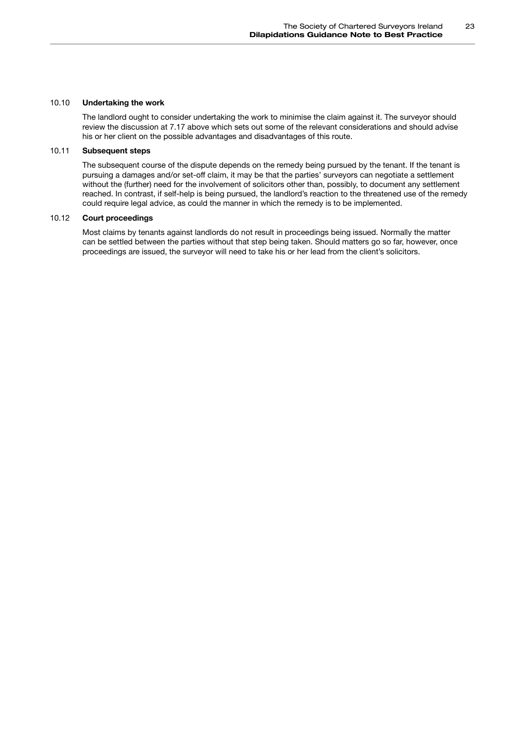#### 10.10 Undertaking the work

The landlord ought to consider undertaking the work to minimise the claim against it. The surveyor should review the discussion at 7.17 above which sets out some of the relevant considerations and should advise his or her client on the possible advantages and disadvantages of this route.

#### 10.11 Subsequent steps

The subsequent course of the dispute depends on the remedy being pursued by the tenant. If the tenant is pursuing a damages and/or set-off claim, it may be that the parties' surveyors can negotiate a settlement without the (further) need for the involvement of solicitors other than, possibly, to document any settlement reached. In contrast, if self-help is being pursued, the landlord's reaction to the threatened use of the remedy could require legal advice, as could the manner in which the remedy is to be implemented.

#### 10.12 Court proceedings

Most claims by tenants against landlords do not result in proceedings being issued. Normally the matter can be settled between the parties without that step being taken. Should matters go so far, however, once proceedings are issued, the surveyor will need to take his or her lead from the client's solicitors.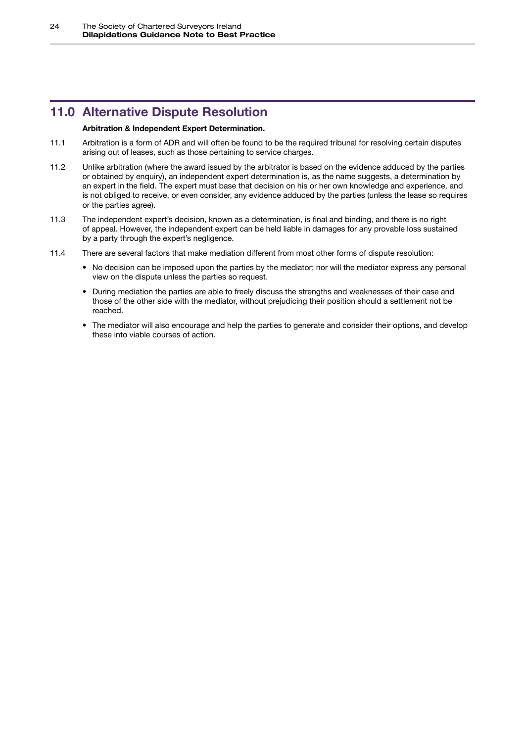### 11.0 Alternative Dispute Resolution

#### Arbitration & Independent Expert Determination.

- 11.1 Arbitration is a form of ADR and will often be found to be the required tribunal for resolving certain disputes arising out of leases, such as those pertaining to service charges.
- 11.2 Unlike arbitration (where the award issued by the arbitrator is based on the evidence adduced by the parties or obtained by enquiry), an independent expert determination is, as the name suggests, a determination by an expert in the field. The expert must base that decision on his or her own knowledge and experience, and is not obliged to receive, or even consider, any evidence adduced by the parties (unless the lease so requires or the parties agree).
- 11.3 The independent expert's decision, known as a determination, is final and binding, and there is no right of appeal. However, the independent expert can be held liable in damages for any provable loss sustained by a party through the expert's negligence.
- 11.4 There are several factors that make mediation different from most other forms of dispute resolution:
	- No decision can be imposed upon the parties by the mediator; nor will the mediator express any personal view on the dispute unless the parties so request.
	- During mediation the parties are able to freely discuss the strengths and weaknesses of their case and those of the other side with the mediator, without prejudicing their position should a settlement not be reached.
	- The mediator will also encourage and help the parties to generate and consider their options, and develop these into viable courses of action.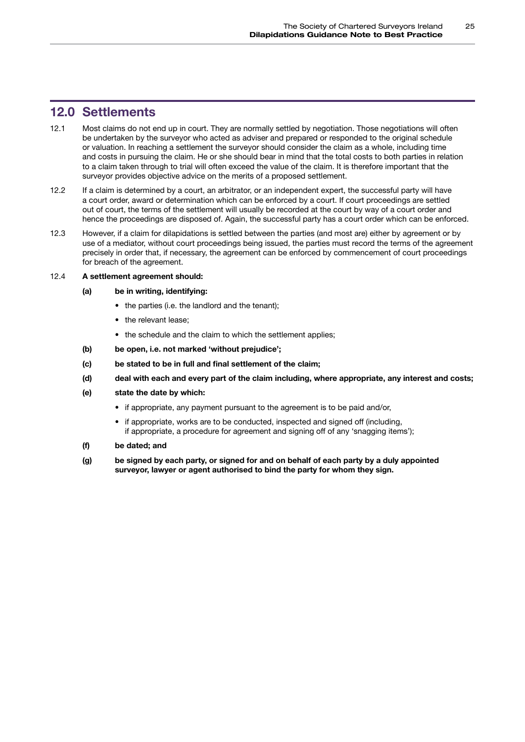### 12.0 Settlements

- 12.1 Most claims do not end up in court. They are normally settled by negotiation. Those negotiations will often be undertaken by the surveyor who acted as adviser and prepared or responded to the original schedule or valuation. In reaching a settlement the surveyor should consider the claim as a whole, including time and costs in pursuing the claim. He or she should bear in mind that the total costs to both parties in relation to a claim taken through to trial will often exceed the value of the claim. It is therefore important that the surveyor provides objective advice on the merits of a proposed settlement.
- 12.2 If a claim is determined by a court, an arbitrator, or an independent expert, the successful party will have a court order, award or determination which can be enforced by a court. If court proceedings are settled out of court, the terms of the settlement will usually be recorded at the court by way of a court order and hence the proceedings are disposed of. Again, the successful party has a court order which can be enforced.
- 12.3 However, if a claim for dilapidations is settled between the parties (and most are) either by agreement or by use of a mediator, without court proceedings being issued, the parties must record the terms of the agreement precisely in order that, if necessary, the agreement can be enforced by commencement of court proceedings for breach of the agreement.

#### 12.4 A settlement agreement should:

- (a) be in writing, identifying:
	- the parties (i.e. the landlord and the tenant);
	- the relevant lease;
	- the schedule and the claim to which the settlement applies;
- (b) be open, i.e. not marked 'without prejudice';
- (c) be stated to be in full and final settlement of the claim;
- (d) deal with each and every part of the claim including, where appropriate, any interest and costs;
- (e) state the date by which:
	- if appropriate, any payment pursuant to the agreement is to be paid and/or,
	- if appropriate, works are to be conducted, inspected and signed off (including, if appropriate, a procedure for agreement and signing off of any 'snagging items');
- (f) be dated; and
- (g) be signed by each party, or signed for and on behalf of each party by a duly appointed surveyor, lawyer or agent authorised to bind the party for whom they sign.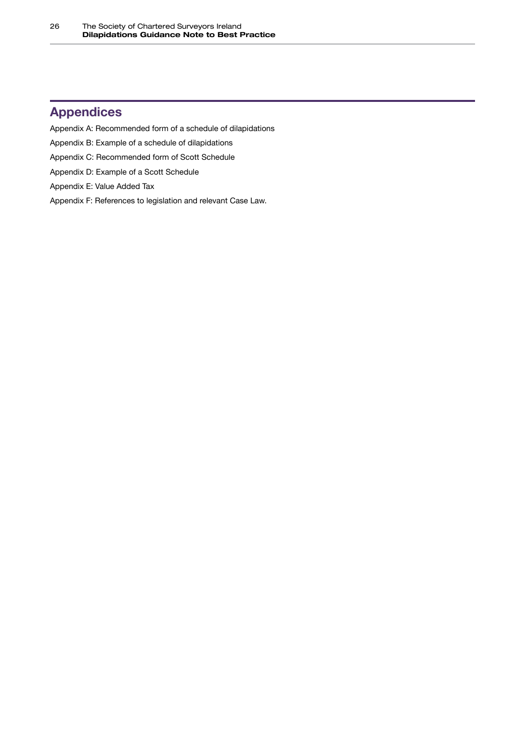### **Appendices**

Appendix A: Recommended form of a schedule of dilapidations

Appendix B: Example of a schedule of dilapidations

Appendix C: Recommended form of Scott Schedule

- Appendix D: Example of a Scott Schedule
- Appendix E: Value Added Tax
- Appendix F: References to legislation and relevant Case Law.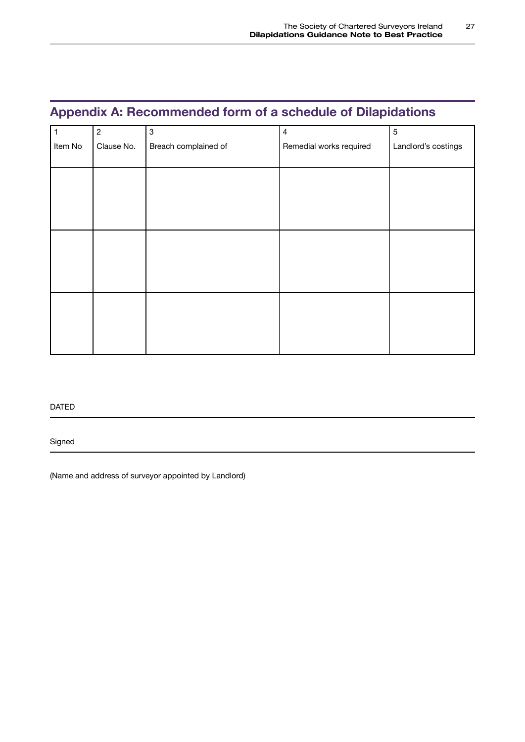### Appendix A: Recommended form of a schedule of Dilapidations

| $\overline{1}$ | $\sqrt{2}$ | $\mathsf 3$          | $\overline{4}$          | $\overline{5}$      |
|----------------|------------|----------------------|-------------------------|---------------------|
| Item No        | Clause No. | Breach complained of | Remedial works required | Landlord's costings |
|                |            |                      |                         |                     |
|                |            |                      |                         |                     |
|                |            |                      |                         |                     |
|                |            |                      |                         |                     |
|                |            |                      |                         |                     |
|                |            |                      |                         |                     |
|                |            |                      |                         |                     |
|                |            |                      |                         |                     |
|                |            |                      |                         |                     |
|                |            |                      |                         |                     |
|                |            |                      |                         |                     |
|                |            |                      |                         |                     |
|                |            |                      |                         |                     |

#### DATED

Signed

(Name and address of surveyor appointed by Landlord)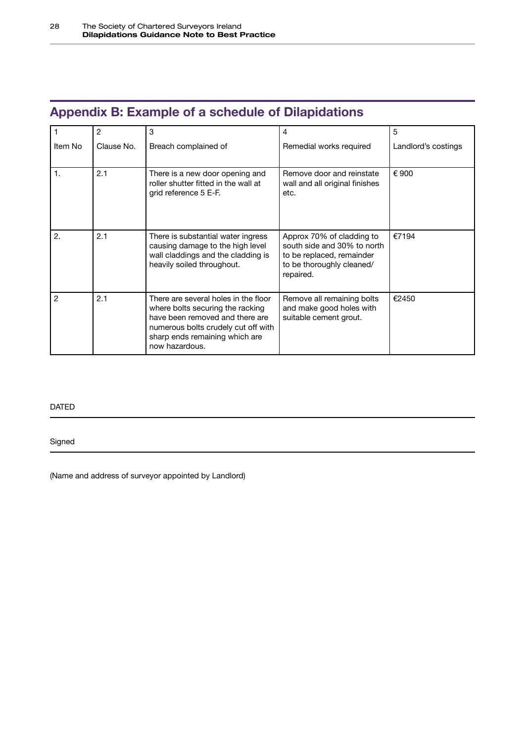### Appendix B: Example of a schedule of Dilapidations

| $\overline{1}$ | $\overline{2}$ | 3                                                                                                                                                                                                      | 4                                                                                                                               | 5                   |
|----------------|----------------|--------------------------------------------------------------------------------------------------------------------------------------------------------------------------------------------------------|---------------------------------------------------------------------------------------------------------------------------------|---------------------|
| Item No        | Clause No.     | Breach complained of                                                                                                                                                                                   | Remedial works required                                                                                                         | Landlord's costings |
| $\mathbf{1}$ . | 2.1            | There is a new door opening and<br>roller shutter fitted in the wall at<br>grid reference 5 E-F.                                                                                                       | Remove door and reinstate<br>wall and all original finishes<br>etc.                                                             | € 900               |
| 2.             | 2.1            | There is substantial water ingress<br>causing damage to the high level<br>wall claddings and the cladding is<br>heavily soiled throughout.                                                             | Approx 70% of cladding to<br>south side and 30% to north<br>to be replaced, remainder<br>to be thoroughly cleaned/<br>repaired. | €7194               |
| 2              | 2.1            | There are several holes in the floor<br>where bolts securing the racking<br>have been removed and there are<br>numerous bolts crudely cut off with<br>sharp ends remaining which are<br>now hazardous. | Remove all remaining bolts<br>and make good holes with<br>suitable cement grout.                                                | €2450               |

#### DATED

Signed

(Name and address of surveyor appointed by Landlord)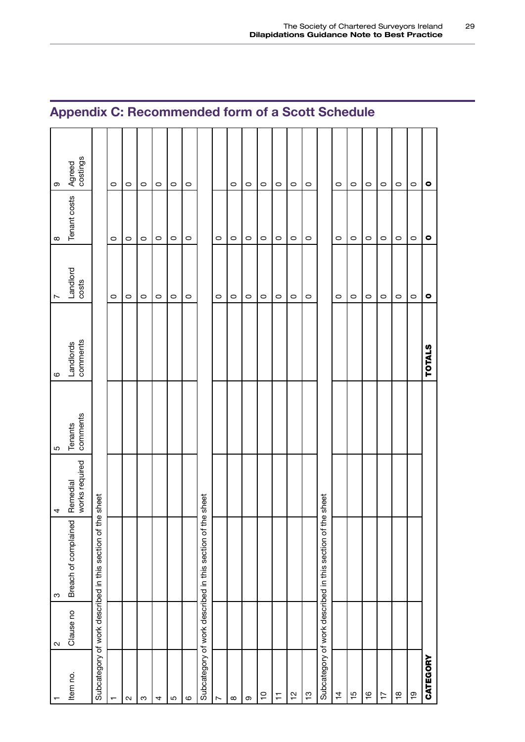|                         | $\mathbf{\Omega}$ | ო                                                          | 4                          | Ю                   | ဖ                     | $\overline{ }$    | $\infty$     | თ                  |
|-------------------------|-------------------|------------------------------------------------------------|----------------------------|---------------------|-----------------------|-------------------|--------------|--------------------|
| Item no.                | Clause no         | Breach of complained                                       | Remedial<br>works required | comments<br>Tenants | comments<br>Landlords | Landlord<br>costs | Tenant costs | Agreed<br>costings |
|                         |                   | Subcategory of work described in this section of the       | sheet                      |                     |                       |                   |              |                    |
| $\blacksquare$          |                   |                                                            |                            |                     |                       | $\circ$           | $\circ$      | $\circ$            |
| $\mathbf{\Omega}$       |                   |                                                            |                            |                     |                       | $\circ$           | $\circ$      | $\circ$            |
| ო                       |                   |                                                            |                            |                     |                       | $\circ$           | $\circ$      | $\circ$            |
| 4                       |                   |                                                            |                            |                     |                       | $\circ$           | $\circ$      | $\circ$            |
| Ю                       |                   |                                                            |                            |                     |                       | $\circ$           | $\circ$      | $\circ$            |
| $\circ$                 |                   |                                                            |                            |                     |                       | $\circ$           | $\circ$      | $\circ$            |
|                         |                   | Subcategory of work described in this section of the sheet |                            |                     |                       |                   |              |                    |
| $\overline{ }$          |                   |                                                            |                            |                     |                       | $\circ$           | $\circ$      |                    |
| $\infty$                |                   |                                                            |                            |                     |                       | $\circ$           | $\circ$      | $\circ$            |
| $\infty$                |                   |                                                            |                            |                     |                       | $\circ$           | $\circ$      | $\circ$            |
| $\overline{C}$          |                   |                                                            |                            |                     |                       | $\circ$           | $\circ$      | $\circ$            |
| $\overline{+}$          |                   |                                                            |                            |                     |                       | $\circ$           | $\circ$      | $\circ$            |
| $\frac{1}{2}$           |                   |                                                            |                            |                     |                       | $\circ$           | $\circ$      | $\circ$            |
| <u>ლ</u>                |                   |                                                            |                            |                     |                       | $\circ$           | $\circ$      | $\circ$            |
|                         |                   | Subcategory of work described in this section of the sheet |                            |                     |                       |                   |              |                    |
| $\frac{4}{4}$           |                   |                                                            |                            |                     |                       | $\circ$           | $\circ$      | $\circ$            |
| $\frac{15}{2}$          |                   |                                                            |                            |                     |                       | $\circ$           | $\circ$      | $\circ$            |
| $\frac{6}{1}$           |                   |                                                            |                            |                     |                       | $\circ$           | $\circ$      | $\circ$            |
| $\overline{1}$          |                   |                                                            |                            |                     |                       | $\circ$           | $\circ$      | $\circ$            |
| $\frac{\infty}{\infty}$ |                   |                                                            |                            |                     |                       | $\circ$           | $\circ$      | $\circ$            |
| စ္                      |                   |                                                            |                            |                     |                       | $\circ$           | $\circ$      | $\circ$            |
| CATEGORY                |                   |                                                            |                            |                     | <b>TOTALS</b>         | $\bullet$         | $\bullet$    | $\bullet$          |

## Appendix C: Recommended form of a Scott Schedule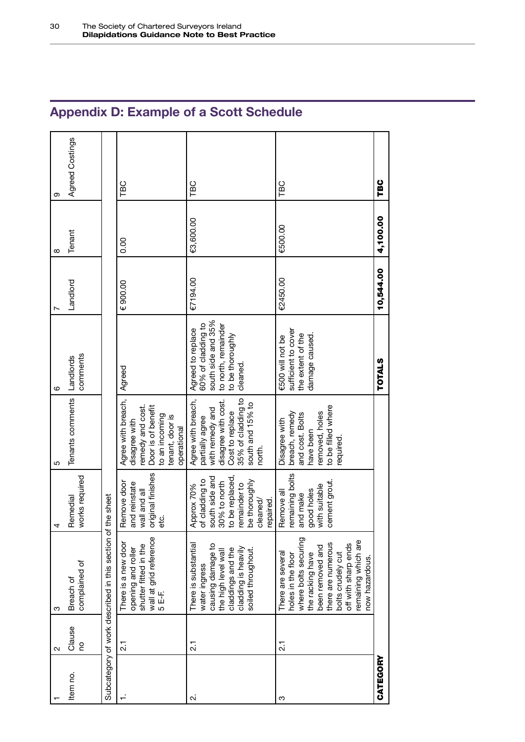|          | Z                   | ო                                                                                                                                                                                                                  | 4                                                                                                                                          | ю                                                                                                                                                      | ဖ                                                                                                                    |           | $\infty$  | တ               |
|----------|---------------------|--------------------------------------------------------------------------------------------------------------------------------------------------------------------------------------------------------------------|--------------------------------------------------------------------------------------------------------------------------------------------|--------------------------------------------------------------------------------------------------------------------------------------------------------|----------------------------------------------------------------------------------------------------------------------|-----------|-----------|-----------------|
| tem no.  | Clause<br><b>DO</b> | complained of<br>Breach of                                                                                                                                                                                         | ks required<br>Remedial<br>yor                                                                                                             | Tenants comments                                                                                                                                       | comments<br>Landlords                                                                                                | Landlord  | Tenant    | Agreed Costings |
|          |                     | Subcategory of work described in this section of the                                                                                                                                                               | sheet                                                                                                                                      |                                                                                                                                                        |                                                                                                                      |           |           |                 |
|          | $\overline{21}$     | wall at grid reference<br>5 E-F.<br>There is a new door<br>shutter fitted in the<br>opening and roller                                                                                                             | original finishes<br>Remove door<br>reinstate<br>and all<br>and<br>Wall<br>etc.                                                            | Agree with breach,<br>remedy and cost.<br>Door is of benefit<br>to an incoming<br>tenant, door is<br>disagree with<br>operational                      | Agreed                                                                                                               | €900.00   | 0.00      | TBC             |
|          | $\overline{2}$      | There is substantial<br>causing damage to<br>cladding is heavily<br>claddings and the<br>soiled throughout.<br>the high level wall<br>water ingress                                                                | south side and<br>to be replaced<br>of cladding to<br>be thoroughly<br>30% to north<br>remainder to<br>Approx 70%<br>cleaned/<br>repaired. | 35% of cladding to<br>disagree with cost.<br>Agree with breach,<br>south and 15% to<br>with remedy and<br>Cost to replace<br>partially agree<br>north. | south side and 35%<br>60% of cladding to<br>to north, remainder<br>Agreed to replace<br>to be thoroughly<br>cleaned. | €7194.00  | €3,600.00 | <b>TBC</b>      |
| ო        | $\overline{21}$     | where bolts securing<br>remaining which are<br>there are numerous<br>off with sharp ends<br>been removed and<br>There are several<br>bolts crudely cut<br>the racking have<br>holes in the floor<br>now hazardous. | remaining bolts<br>cement grout.<br>with suitable<br>good holes<br>Remove all<br>make<br>and                                               | to be filled where<br>breach, remedy<br>removed, holes<br>and cost. Bolts<br>Disagree with<br>have been<br>equired.                                    | sufficient to cover<br>the extent of the<br>damage caused.<br>E500 will not be                                       | €2450.00  | €500.00   | <b>TBC</b>      |
| CATEGORY |                     |                                                                                                                                                                                                                    |                                                                                                                                            |                                                                                                                                                        | TOTALS                                                                                                               | 10,544.00 | 4,100.00  | TBC             |

### Appendix D: Example of a Scott Schedule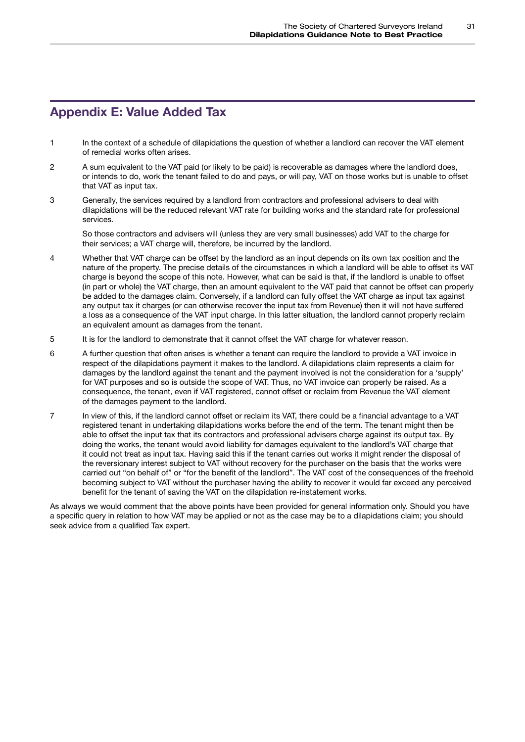### Appendix E: Value Added Tax

- 1 In the context of a schedule of dilapidations the question of whether a landlord can recover the VAT element of remedial works often arises.
- 2 A sum equivalent to the VAT paid (or likely to be paid) is recoverable as damages where the landlord does, or intends to do, work the tenant failed to do and pays, or will pay, VAT on those works but is unable to offset that VAT as input tax.
- 3 Generally, the services required by a landlord from contractors and professional advisers to deal with dilapidations will be the reduced relevant VAT rate for building works and the standard rate for professional services.

So those contractors and advisers will (unless they are very small businesses) add VAT to the charge for their services; a VAT charge will, therefore, be incurred by the landlord.

- 4 Whether that VAT charge can be offset by the landlord as an input depends on its own tax position and the nature of the property. The precise details of the circumstances in which a landlord will be able to offset its VAT charge is beyond the scope of this note. However, what can be said is that, if the landlord is unable to offset (in part or whole) the VAT charge, then an amount equivalent to the VAT paid that cannot be offset can properly be added to the damages claim. Conversely, if a landlord can fully offset the VAT charge as input tax against any output tax it charges (or can otherwise recover the input tax from Revenue) then it will not have suffered a loss as a consequence of the VAT input charge. In this latter situation, the landlord cannot properly reclaim an equivalent amount as damages from the tenant.
- 5 It is for the landlord to demonstrate that it cannot offset the VAT charge for whatever reason.
- 6 A further question that often arises is whether a tenant can require the landlord to provide a VAT invoice in respect of the dilapidations payment it makes to the landlord. A dilapidations claim represents a claim for damages by the landlord against the tenant and the payment involved is not the consideration for a 'supply' for VAT purposes and so is outside the scope of VAT. Thus, no VAT invoice can properly be raised. As a consequence, the tenant, even if VAT registered, cannot offset or reclaim from Revenue the VAT element of the damages payment to the landlord.
- 7 In view of this, if the landlord cannot offset or reclaim its VAT, there could be a financial advantage to a VAT registered tenant in undertaking dilapidations works before the end of the term. The tenant might then be able to offset the input tax that its contractors and professional advisers charge against its output tax. By doing the works, the tenant would avoid liability for damages equivalent to the landlord's VAT charge that it could not treat as input tax. Having said this if the tenant carries out works it might render the disposal of the reversionary interest subject to VAT without recovery for the purchaser on the basis that the works were carried out "on behalf of" or "for the benefit of the landlord". The VAT cost of the consequences of the freehold becoming subject to VAT without the purchaser having the ability to recover it would far exceed any perceived benefit for the tenant of saving the VAT on the dilapidation re-instatement works.

As always we would comment that the above points have been provided for general information only. Should you have a specific query in relation to how VAT may be applied or not as the case may be to a dilapidations claim; you should seek advice from a qualified Tax expert.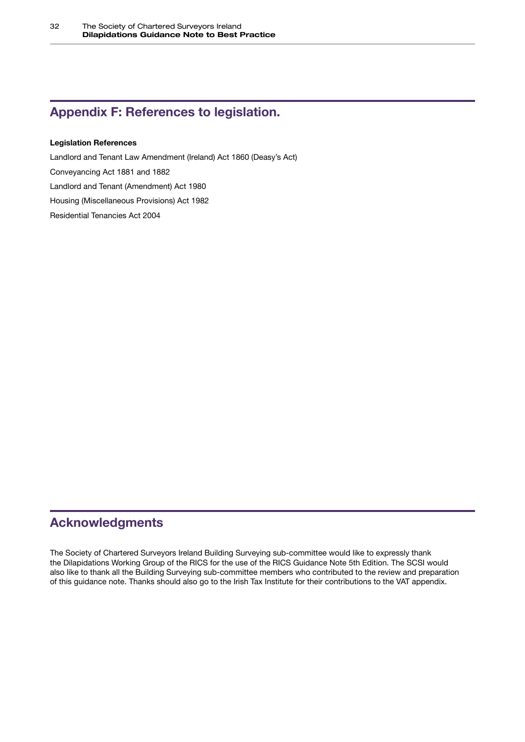### Appendix F: References to legislation.

#### Legislation References

Landlord and Tenant Law Amendment (Ireland) Act 1860 (Deasy's Act) Conveyancing Act 1881 and 1882 Landlord and Tenant (Amendment) Act 1980 Housing (Miscellaneous Provisions) Act 1982 Residential Tenancies Act 2004

### Acknowledgments

The Society of Chartered Surveyors Ireland Building Surveying sub-committee would like to expressly thank the Dilapidations Working Group of the RICS for the use of the RICS Guidance Note 5th Edition. The SCSI would also like to thank all the Building Surveying sub-committee members who contributed to the review and preparation of this guidance note. Thanks should also go to the Irish Tax Institute for their contributions to the VAT appendix.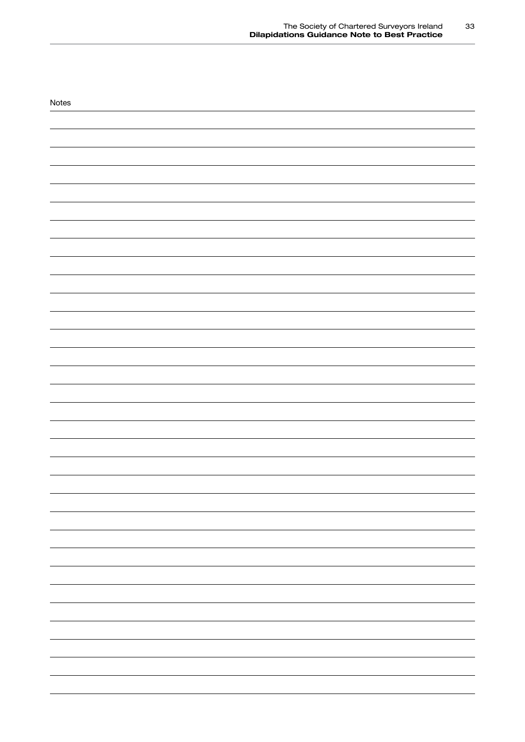| Notes |
|-------|
|       |
|       |
|       |
|       |
|       |
|       |
|       |
|       |
|       |
|       |
|       |
|       |
|       |
|       |
|       |
|       |
|       |
|       |
|       |
|       |
|       |
|       |
|       |
|       |
|       |
|       |
|       |
|       |
|       |
|       |
|       |